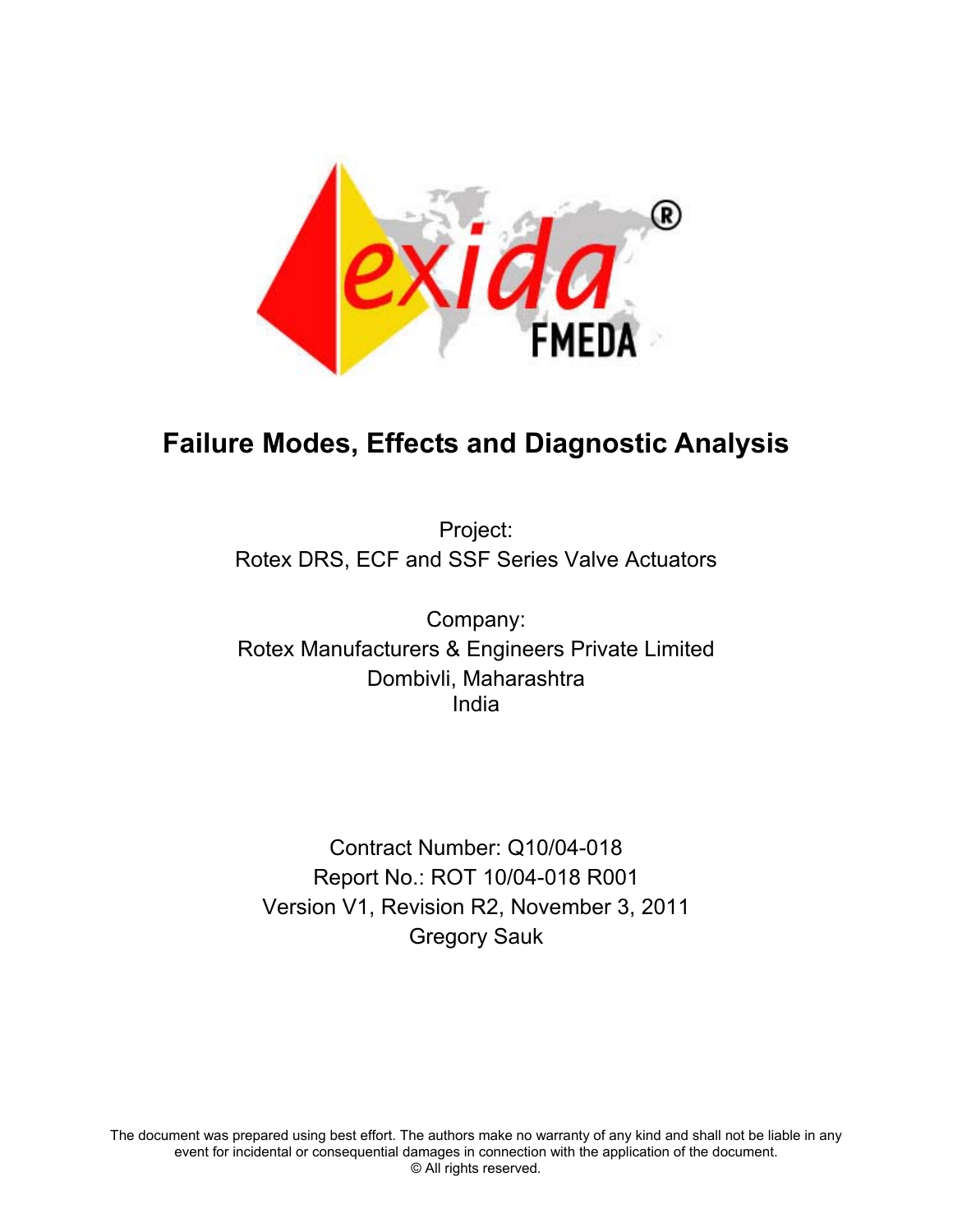

# **Failure Modes, Effects and Diagnostic Analysis**

Project: Rotex DRS, ECF and SSF Series Valve Actuators

Company: Rotex Manufacturers & Engineers Private Limited Dombivli, Maharashtra India

Contract Number: Q10/04-018 Report No.: ROT 10/04-018 R001 Version V1, Revision R2, November 3, 2011 Gregory Sauk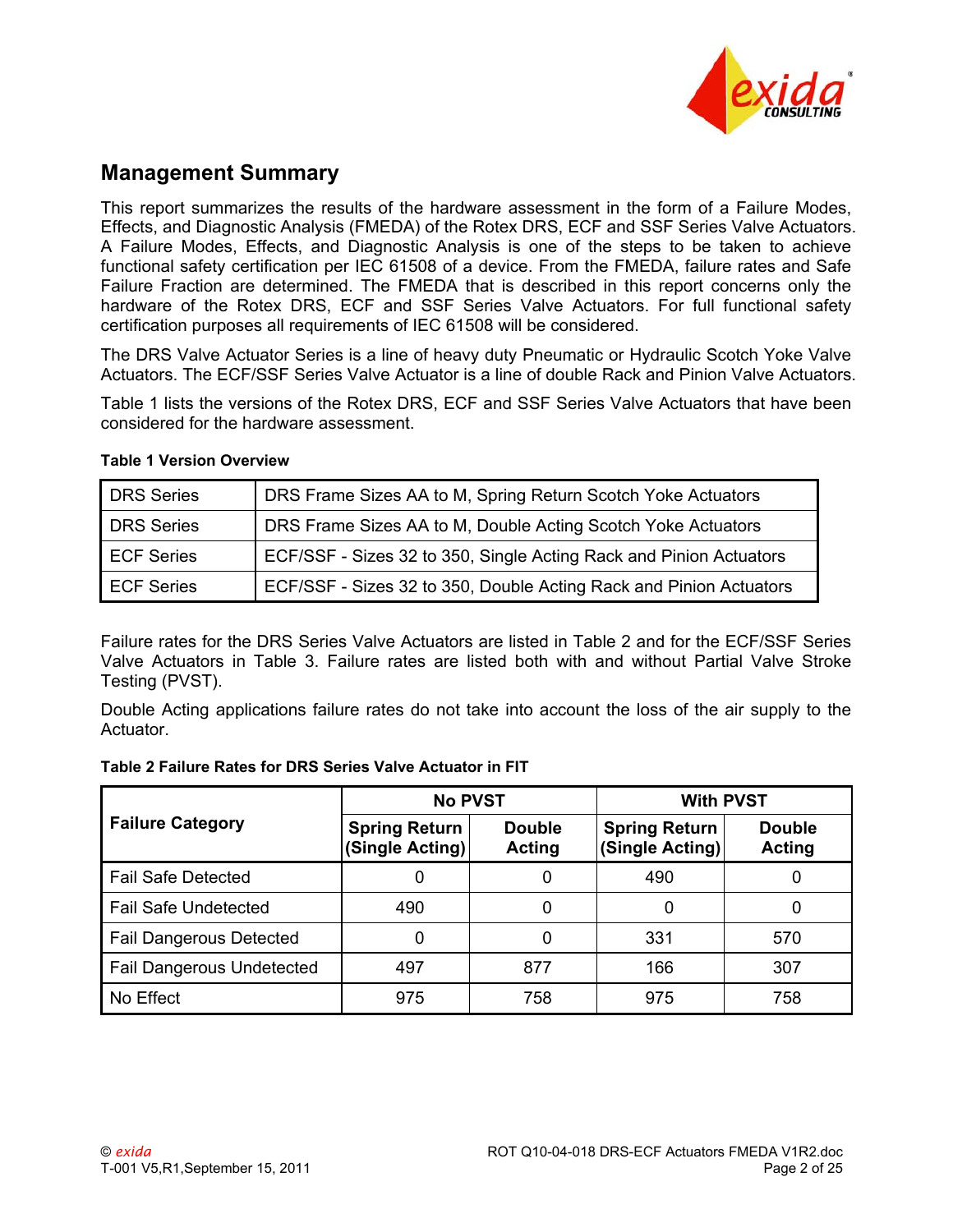

# **Management Summary**

This report summarizes the results of the hardware assessment in the form of a Failure Modes, Effects, and Diagnostic Analysis (FMEDA) of the Rotex DRS, ECF and SSF Series Valve Actuators. A Failure Modes, Effects, and Diagnostic Analysis is one of the steps to be taken to achieve functional safety certification per IEC 61508 of a device. From the FMEDA, failure rates and Safe Failure Fraction are determined. The FMEDA that is described in this report concerns only the hardware of the Rotex DRS, ECF and SSF Series Valve Actuators. For full functional safety certification purposes all requirements of IEC 61508 will be considered.

The DRS Valve Actuator Series is a line of heavy duty Pneumatic or Hydraulic Scotch Yoke Valve Actuators. The ECF/SSF Series Valve Actuator is a line of double Rack and Pinion Valve Actuators.

[Table 1](#page-1-0) lists the versions of the Rotex DRS, ECF and SSF Series Valve Actuators that have been considered for the hardware assessment.

| <b>DRS</b> Series | DRS Frame Sizes AA to M, Spring Return Scotch Yoke Actuators       |
|-------------------|--------------------------------------------------------------------|
| <b>DRS</b> Series | DRS Frame Sizes AA to M, Double Acting Scotch Yoke Actuators       |
| <b>ECF Series</b> | ECF/SSF - Sizes 32 to 350, Single Acting Rack and Pinion Actuators |
| <b>ECF Series</b> | ECF/SSF - Sizes 32 to 350, Double Acting Rack and Pinion Actuators |

#### <span id="page-1-0"></span>**Table 1 Version Overview**

Failure rates for the DRS Series Valve Actuators are listed in [Table 2](#page-1-1) and for the ECF/SSF Series Valve Actuators in [Table 3](#page-2-0). Failure rates are listed both with and without Partial Valve Stroke Testing (PVST).

Double Acting applications failure rates do not take into account the loss of the air supply to the Actuator.

<span id="page-1-1"></span>

| Table 2 Failure Rates for DRS Series Valve Actuator in FIT |
|------------------------------------------------------------|
|------------------------------------------------------------|

|                                  | <b>No PVST</b>                          |                                | <b>With PVST</b>                        |                         |  |
|----------------------------------|-----------------------------------------|--------------------------------|-----------------------------------------|-------------------------|--|
| <b>Failure Category</b>          | <b>Spring Return</b><br>(Single Acting) | <b>Double</b><br><b>Acting</b> | <b>Spring Return</b><br>(Single Acting) | <b>Double</b><br>Acting |  |
| <b>Fail Safe Detected</b>        |                                         | 0                              | 490                                     |                         |  |
| <b>Fail Safe Undetected</b>      | 490                                     | 0                              | 0                                       |                         |  |
| <b>Fail Dangerous Detected</b>   |                                         | 0                              | 331                                     | 570                     |  |
| <b>Fail Dangerous Undetected</b> | 497                                     | 877                            | 166                                     | 307                     |  |
| No Effect                        | 975                                     | 758                            | 975                                     | 758                     |  |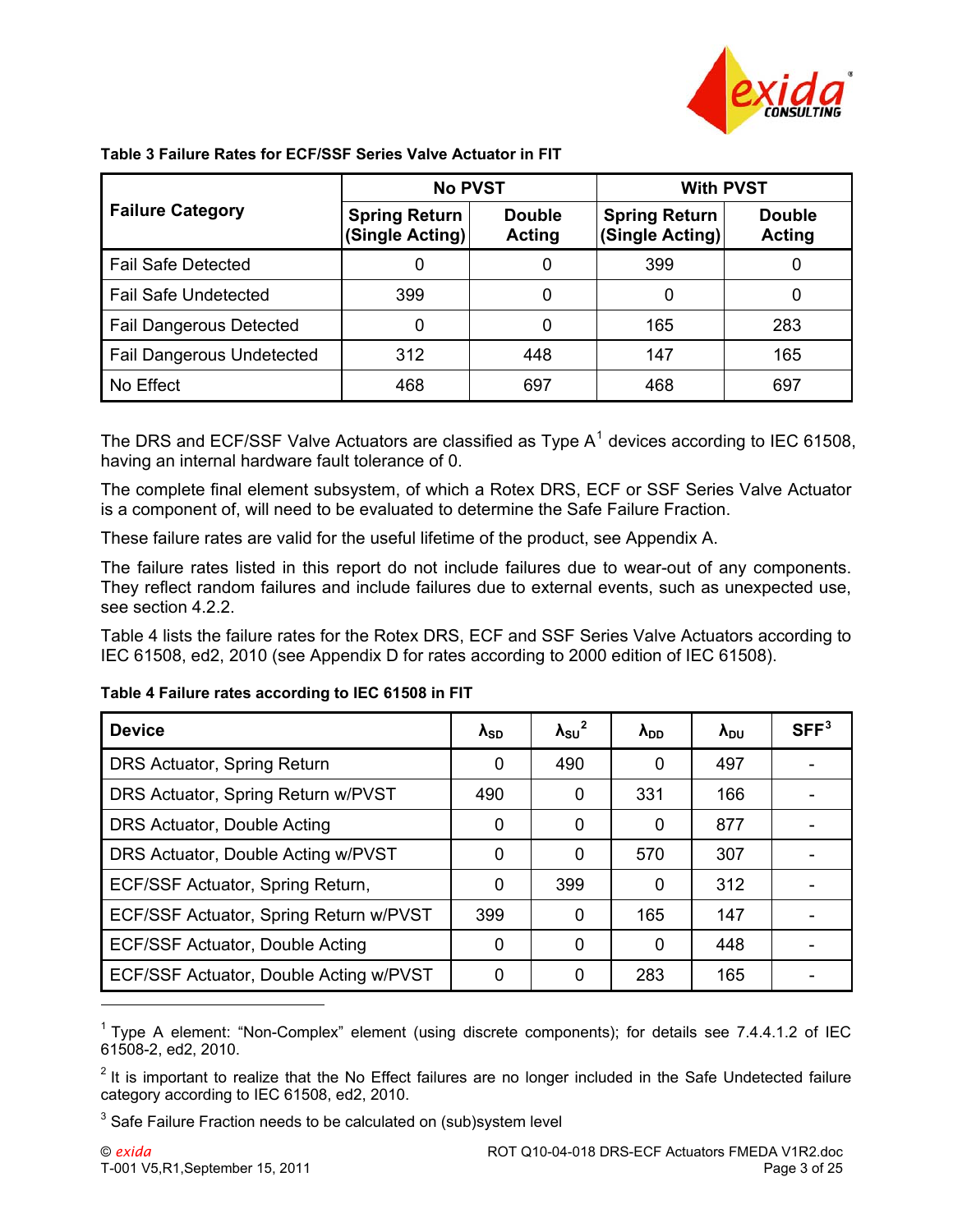

|                                  | <b>No PVST</b>                          |                         | <b>With PVST</b>                        |                                |  |
|----------------------------------|-----------------------------------------|-------------------------|-----------------------------------------|--------------------------------|--|
| <b>Failure Category</b>          | <b>Spring Return</b><br>(Single Acting) | <b>Double</b><br>Acting | <b>Spring Return</b><br>(Single Acting) | <b>Double</b><br><b>Acting</b> |  |
| <b>Fail Safe Detected</b>        |                                         | 0                       | 399                                     | 0                              |  |
| <b>Fail Safe Undetected</b>      | 399                                     | 0                       | 0                                       |                                |  |
| <b>Fail Dangerous Detected</b>   |                                         | 0                       | 165                                     | 283                            |  |
| <b>Fail Dangerous Undetected</b> | 312                                     | 448                     | 147                                     | 165                            |  |
| No Effect                        | 468                                     | 697                     | 468                                     | 697                            |  |

<span id="page-2-0"></span>**Table 3 Failure Rates for ECF/SSF Series Valve Actuator in FIT** 

The DRS and ECF/SSF Valve Actuators are classified as Type  $A<sup>1</sup>$  $A<sup>1</sup>$  $A<sup>1</sup>$  devices according to IEC 61508, having an internal hardware fault tolerance of 0.

The complete final element subsystem, of which a Rotex DRS, ECF or SSF Series Valve Actuator is a component of, will need to be evaluated to determine the Safe Failure Fraction.

These failure rates are valid for the useful lifetime of the product, see [Appendix A](#page-21-0).

The failure rates listed in this report do not include failures due to wear-out of any components. They reflect random failures and include failures due to external events, such as unexpected use, see section [4.2.2.](#page-12-0)

[Table 4](#page-2-2) lists the failure rates for the Rotex DRS, ECF and SSF Series Valve Actuators according to IEC 61508, ed2, 2010 (see Appendix D for rates according to 2000 edition of IEC 61508).

#### <span id="page-2-2"></span>**Table 4 Failure rates according to IEC 61508 in FIT**

| <b>Device</b>                          | $\lambda_{SD}$ | $\lambda_{\rm SU}^2$ | $\lambda_{DD}$ | $\lambda_{\rm DU}$ | SFF <sup>3</sup> |
|----------------------------------------|----------------|----------------------|----------------|--------------------|------------------|
| DRS Actuator, Spring Return            | 0              | 490                  | 0              | 497                |                  |
| DRS Actuator, Spring Return w/PVST     | 490            | 0                    | 331            | 166                |                  |
| DRS Actuator, Double Acting            | 0              | 0                    | 0              | 877                |                  |
| DRS Actuator, Double Acting w/PVST     | 0              | 0                    | 570            | 307                |                  |
| ECF/SSF Actuator, Spring Return,       | 0              | 399                  | 0              | 312                |                  |
| ECF/SSF Actuator, Spring Return w/PVST | 399            | 0                    | 165            | 147                |                  |
| ECF/SSF Actuator, Double Acting        | 0              | 0                    | 0              | 448                |                  |
| ECF/SSF Actuator, Double Acting w/PVST | 0              | 0                    | 283            | 165                |                  |
|                                        |                |                      |                |                    |                  |

<span id="page-2-1"></span><sup>&</sup>lt;sup>1</sup> Type A element: "Non-Complex" element (using discrete components); for details see 7.4.4.1.2 of IEC 61508-2, ed2, 2010.

<span id="page-2-3"></span> $2$  It is important to realize that the No Effect failures are no longer included in the Safe Undetected failure category according to IEC 61508, ed2, 2010.

<span id="page-2-4"></span> $3$  Safe Failure Fraction needs to be calculated on (sub)system level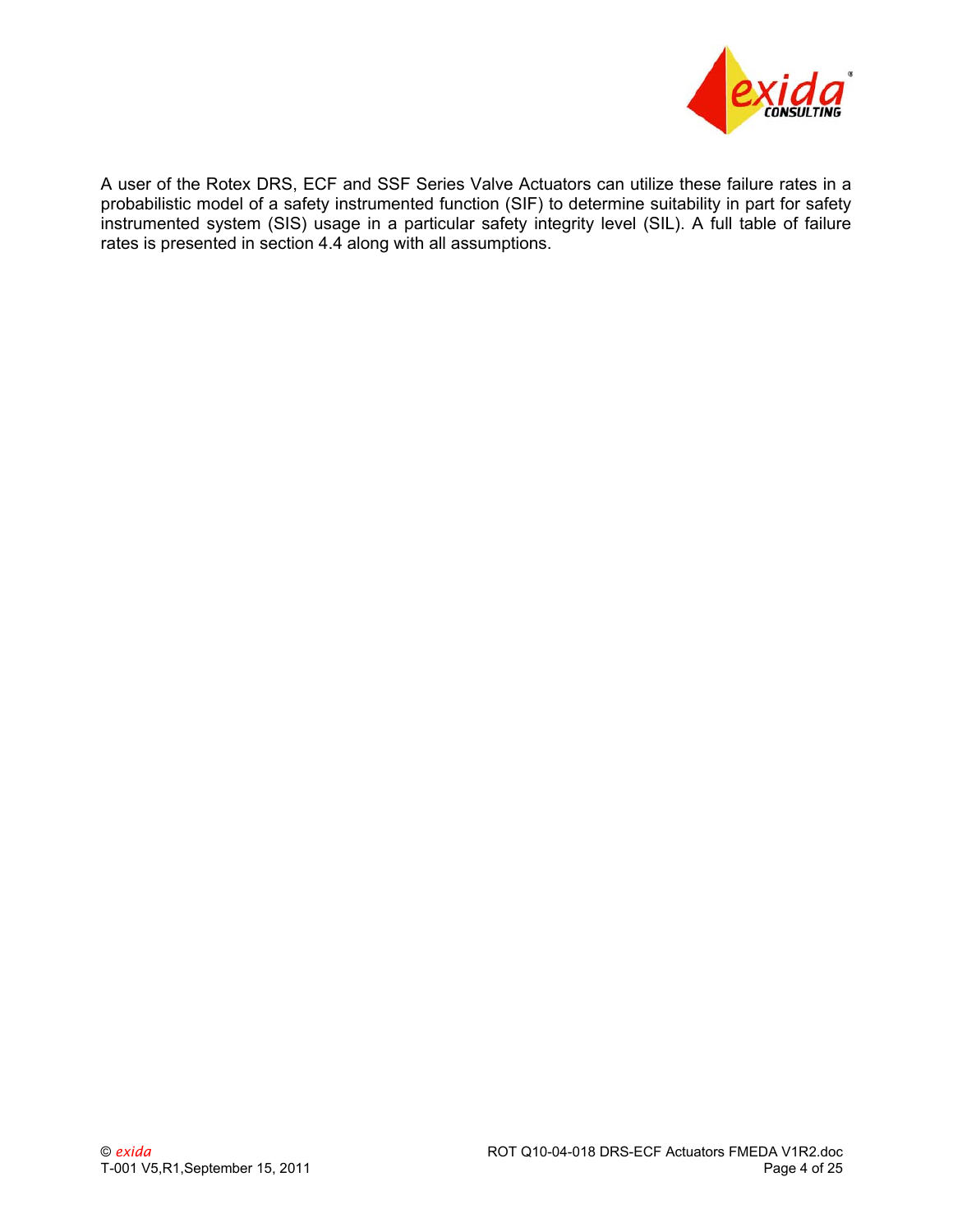

A user of the Rotex DRS, ECF and SSF Series Valve Actuators can utilize these failure rates in a probabilistic model of a safety instrumented function (SIF) to determine suitability in part for safety instrumented system (SIS) usage in a particular safety integrity level (SIL). A full table of failure rates is presented in section [4.4](#page-13-0) along with all assumptions.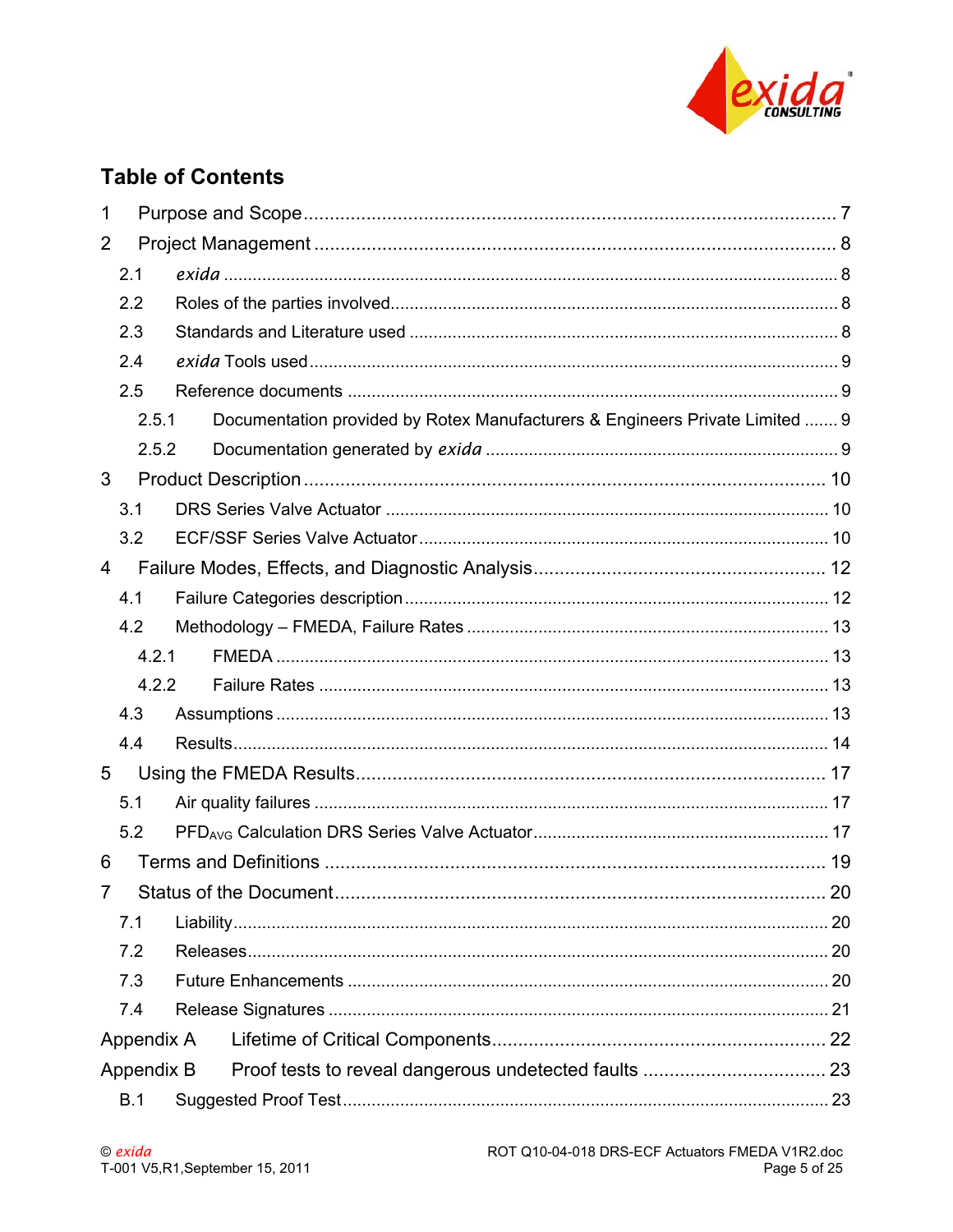

# **Table of Contents**

| 1              |            |  |                                                                              |    |  |
|----------------|------------|--|------------------------------------------------------------------------------|----|--|
| $\overline{2}$ |            |  |                                                                              |    |  |
|                | 2.1        |  |                                                                              |    |  |
|                | 2.2        |  |                                                                              |    |  |
|                | 2.3        |  |                                                                              |    |  |
|                | 2.4        |  |                                                                              |    |  |
|                | 2.5        |  |                                                                              |    |  |
|                | 2.5.1      |  | Documentation provided by Rotex Manufacturers & Engineers Private Limited  9 |    |  |
|                | 2.5.2      |  |                                                                              |    |  |
| 3              |            |  |                                                                              |    |  |
|                | 3.1        |  |                                                                              |    |  |
|                | 3.2        |  |                                                                              |    |  |
| $\overline{4}$ |            |  |                                                                              |    |  |
|                | 4.1        |  |                                                                              |    |  |
|                | 4.2        |  |                                                                              |    |  |
|                | 4.2.1      |  |                                                                              |    |  |
|                | 4.2.2      |  |                                                                              |    |  |
|                | 4.3        |  |                                                                              |    |  |
|                | 4.4        |  |                                                                              |    |  |
| 5              |            |  |                                                                              |    |  |
|                | 5.1        |  |                                                                              |    |  |
|                | 5.2        |  |                                                                              |    |  |
| 6              |            |  |                                                                              |    |  |
| 7              |            |  |                                                                              | 20 |  |
|                | 7.1        |  |                                                                              |    |  |
|                | 7.2        |  |                                                                              |    |  |
|                | 7.3        |  |                                                                              |    |  |
|                | 7.4        |  |                                                                              |    |  |
|                | Appendix A |  |                                                                              |    |  |
| Appendix B     |            |  |                                                                              |    |  |
|                | B.1        |  |                                                                              |    |  |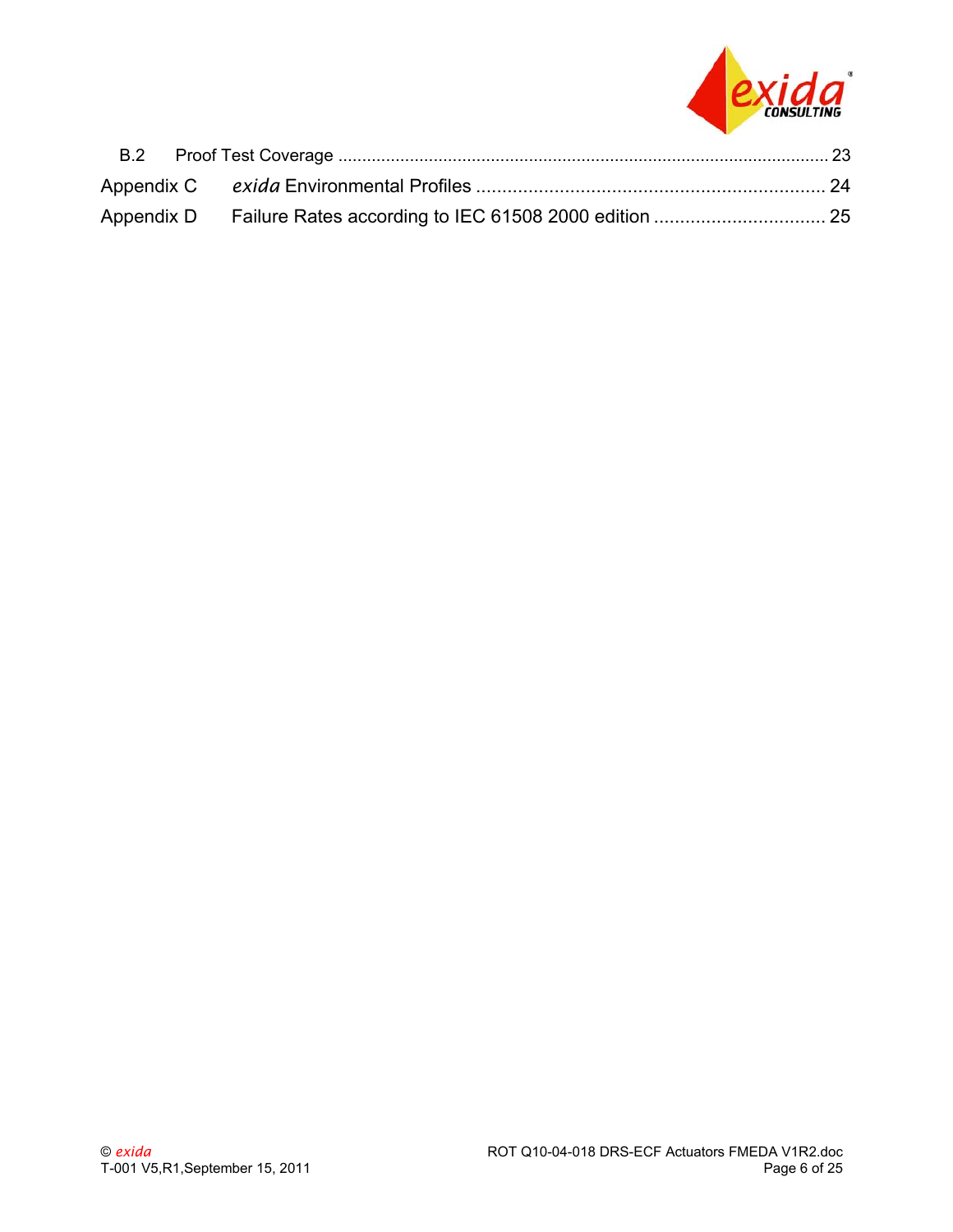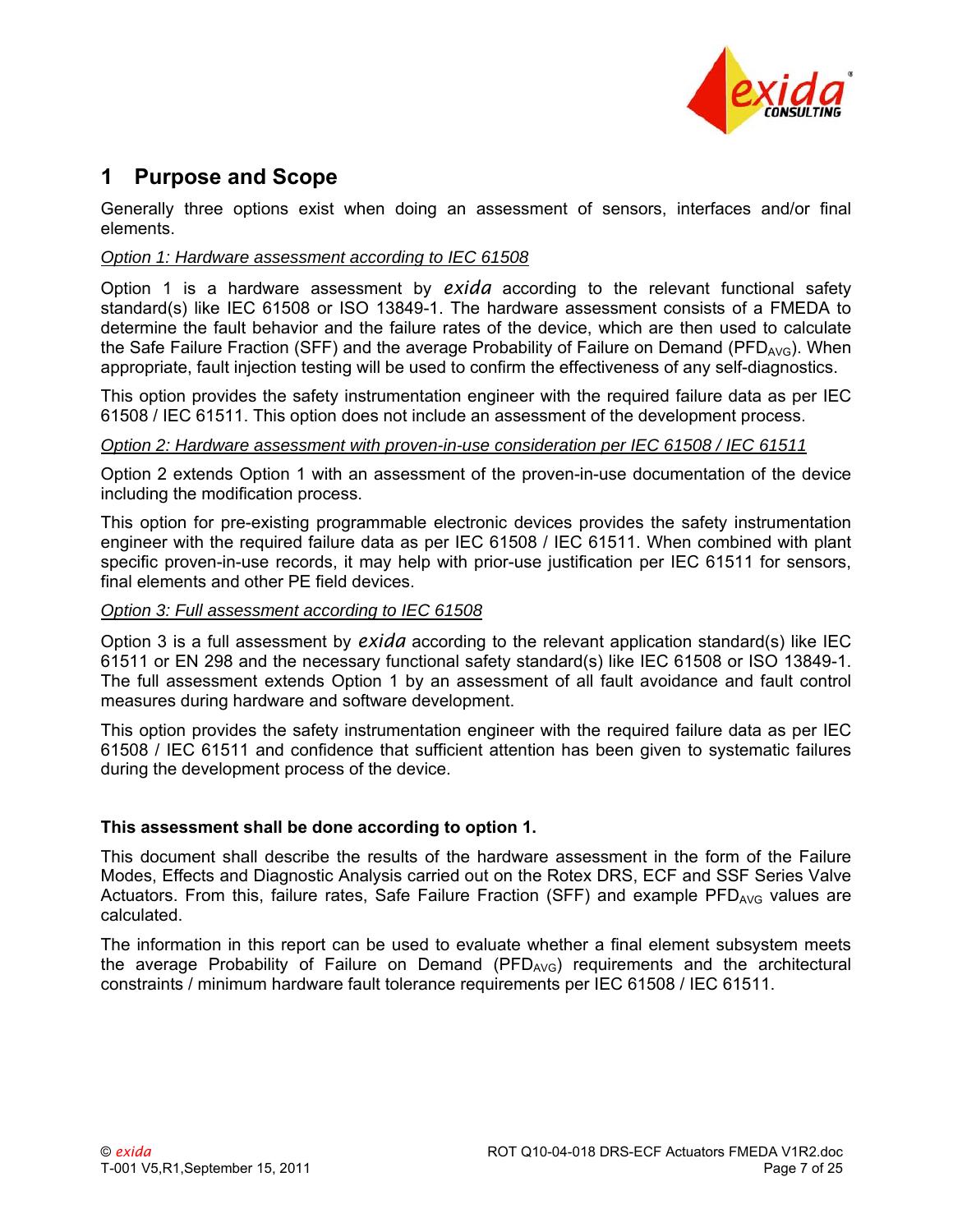

## **1 Purpose and Scope**

Generally three options exist when doing an assessment of sensors, interfaces and/or final elements.

#### *Option 1: Hardware assessment according to IEC 61508*

<span id="page-6-0"></span>Option 1 is a hardware assessment by *exida* according to the relevant functional safety standard(s) like IEC 61508 or ISO 13849-1. The hardware assessment consists of a FMEDA to determine the fault behavior and the failure rates of the device, which are then used to calculate the Safe Failure Fraction (SFF) and the average Probability of Failure on Demand (PFD<sub>AVG</sub>). When appropriate, fault injection testing will be used to confirm the effectiveness of any self-diagnostics.

This option provides the safety instrumentation engineer with the required failure data as per IEC 61508 / IEC 61511. This option does not include an assessment of the development process.

#### *Option 2: Hardware assessment with proven-in-use consideration per IEC 61508 / IEC 61511*

Option 2 extends Option 1 with an assessment of the proven-in-use documentation of the device including the modification process.

This option for pre-existing programmable electronic devices provides the safety instrumentation engineer with the required failure data as per IEC 61508 / IEC 61511. When combined with plant specific proven-in-use records, it may help with prior-use justification per IEC 61511 for sensors, final elements and other PE field devices.

#### *Option 3: Full assessment according to IEC 61508*

Option 3 is a full assessment by *exida* according to the relevant application standard(s) like IEC 61511 or EN 298 and the necessary functional safety standard(s) like IEC 61508 or ISO 13849-1. The full assessment extends Option 1 by an assessment of all fault avoidance and fault control measures during hardware and software development.

This option provides the safety instrumentation engineer with the required failure data as per IEC 61508 / IEC 61511 and confidence that sufficient attention has been given to systematic failures during the development process of the device.

#### **This assessment shall be done according to option 1.**

This document shall describe the results of the hardware assessment in the form of the Failure Modes, Effects and Diagnostic Analysis carried out on the Rotex DRS, ECF and SSF Series Valve Actuators. From this, failure rates, Safe Failure Fraction (SFF) and example  $PFD_{AVG}$  values are calculated.

The information in this report can be used to evaluate whether a final element subsystem meets the average Probability of Failure on Demand ( $PFD_{AVG}$ ) requirements and the architectural constraints / minimum hardware fault tolerance requirements per IEC 61508 / IEC 61511.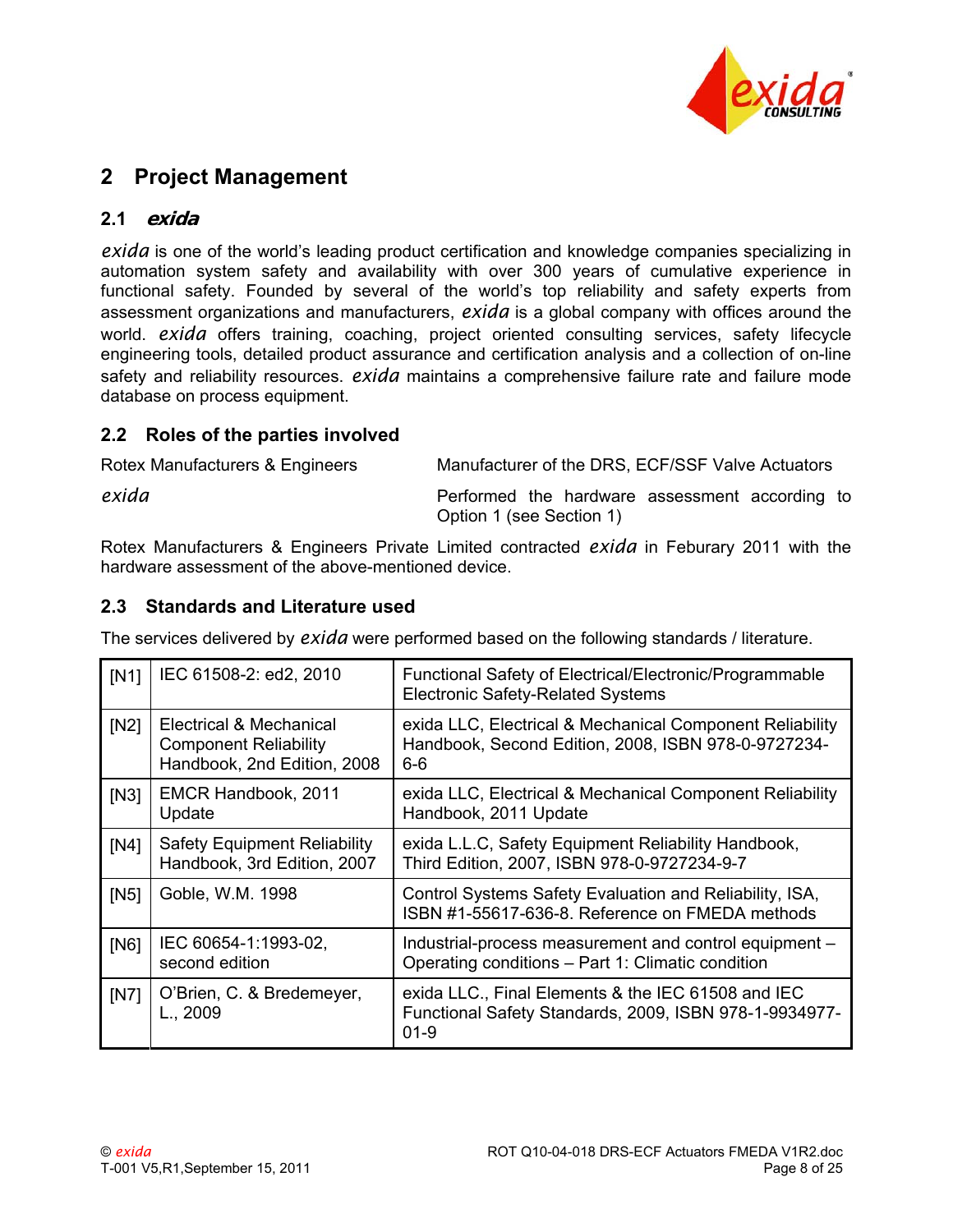

# **2 Project Management**

### <span id="page-7-0"></span>**2.1 exida**

<span id="page-7-1"></span>*exida* is one of the world's leading product certification and knowledge companies specializing in automation system safety and availability with over 300 years of cumulative experience in functional safety. Founded by several of the world's top reliability and safety experts from assessment organizations and manufacturers, *exida* is a global company with offices around the world. *exida* offers training, coaching, project oriented consulting services, safety lifecycle engineering tools, detailed product assurance and certification analysis and a collection of on-line safety and reliability resources. *exida* maintains a comprehensive failure rate and failure mode database on process equipment.

### **2.2 Roles of the parties involved**

<span id="page-7-2"></span>

| Rotex Manufacturers & Engineers | Manufacturer of the DRS, ECF/SSF Valve Actuators                           |
|---------------------------------|----------------------------------------------------------------------------|
| exida                           | Performed the hardware assessment according to<br>Option 1 (see Section 1) |

Rotex Manufacturers & Engineers Private Limited contracted *exida* in Feburary 2011 with the hardware assessment of the above-mentioned device.

### **2.3 Standards and Literature used**

<span id="page-7-3"></span>The services delivered by *exida* were performed based on the following standards / literature.

<span id="page-7-6"></span><span id="page-7-5"></span><span id="page-7-4"></span>

| IN1  | IEC 61508-2: ed2, 2010                                                                 | Functional Safety of Electrical/Electronic/Programmable<br><b>Electronic Safety-Related Systems</b>                      |
|------|----------------------------------------------------------------------------------------|--------------------------------------------------------------------------------------------------------------------------|
| [N2] | Electrical & Mechanical<br><b>Component Reliability</b><br>Handbook, 2nd Edition, 2008 | exida LLC, Electrical & Mechanical Component Reliability<br>Handbook, Second Edition, 2008, ISBN 978-0-9727234-<br>6-6   |
| [N3] | EMCR Handbook, 2011<br>Update                                                          | exida LLC, Electrical & Mechanical Component Reliability<br>Handbook, 2011 Update                                        |
| [N4] | <b>Safety Equipment Reliability</b><br>Handbook, 3rd Edition, 2007                     | exida L.L.C, Safety Equipment Reliability Handbook,<br>Third Edition, 2007, ISBN 978-0-9727234-9-7                       |
| [N5] | Goble, W.M. 1998                                                                       | Control Systems Safety Evaluation and Reliability, ISA,<br>ISBN #1-55617-636-8. Reference on FMEDA methods               |
| [N6] | IEC 60654-1:1993-02,<br>second edition                                                 | Industrial-process measurement and control equipment -<br>Operating conditions – Part 1: Climatic condition              |
| [N7] | O'Brien, C. & Bredemeyer,<br>L., 2009                                                  | exida LLC., Final Elements & the IEC 61508 and IEC<br>Functional Safety Standards, 2009, ISBN 978-1-9934977-<br>$01 - 9$ |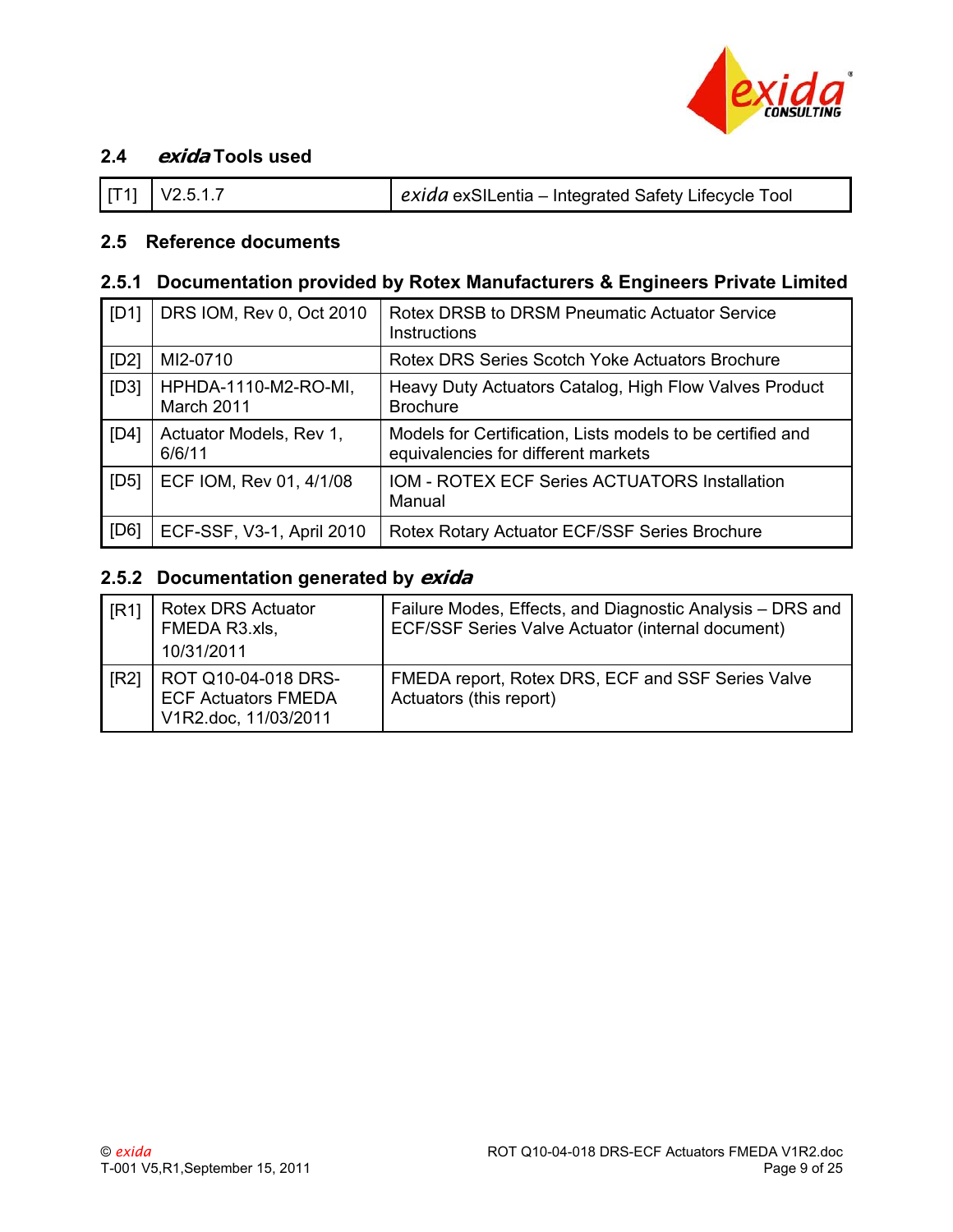

### **2.4 exida Tools used**

<span id="page-8-1"></span>

### <span id="page-8-2"></span>**2.5 Reference documents**

### **2.5.1 Documentation provided by Rotex Manufacturers & Engineers Private Limited**

| [D1] | DRS IOM, Rev 0, Oct 2010           | Rotex DRSB to DRSM Pneumatic Actuator Service<br>Instructions                                     |
|------|------------------------------------|---------------------------------------------------------------------------------------------------|
| [D2] | MI2-0710                           | Rotex DRS Series Scotch Yoke Actuators Brochure                                                   |
| [D3] | HPHDA-1110-M2-RO-MI,<br>March 2011 | Heavy Duty Actuators Catalog, High Flow Valves Product<br><b>Brochure</b>                         |
| [D4] | Actuator Models, Rev 1,<br>6/6/11  | Models for Certification, Lists models to be certified and<br>equivalencies for different markets |
| [D5] | ECF IOM, Rev 01, 4/1/08            | <b>IOM - ROTEX ECF Series ACTUATORS Installation</b><br>Manual                                    |
| [D6] | ECF-SSF, V3-1, April 2010          | Rotex Rotary Actuator ECF/SSF Series Brochure                                                     |

# <span id="page-8-3"></span>**2.5.2 Documentation generated by exida**

<span id="page-8-4"></span><span id="page-8-0"></span>

| [R1] | <b>Rotex DRS Actuator</b><br>FMEDA R3.xls,<br>10/31/2011                  | Failure Modes, Effects, and Diagnostic Analysis - DRS and<br>ECF/SSF Series Valve Actuator (internal document) |
|------|---------------------------------------------------------------------------|----------------------------------------------------------------------------------------------------------------|
| [R2] | ROT Q10-04-018 DRS-<br><b>ECF Actuators FMEDA</b><br>V1R2.doc, 11/03/2011 | FMEDA report, Rotex DRS, ECF and SSF Series Valve<br>Actuators (this report)                                   |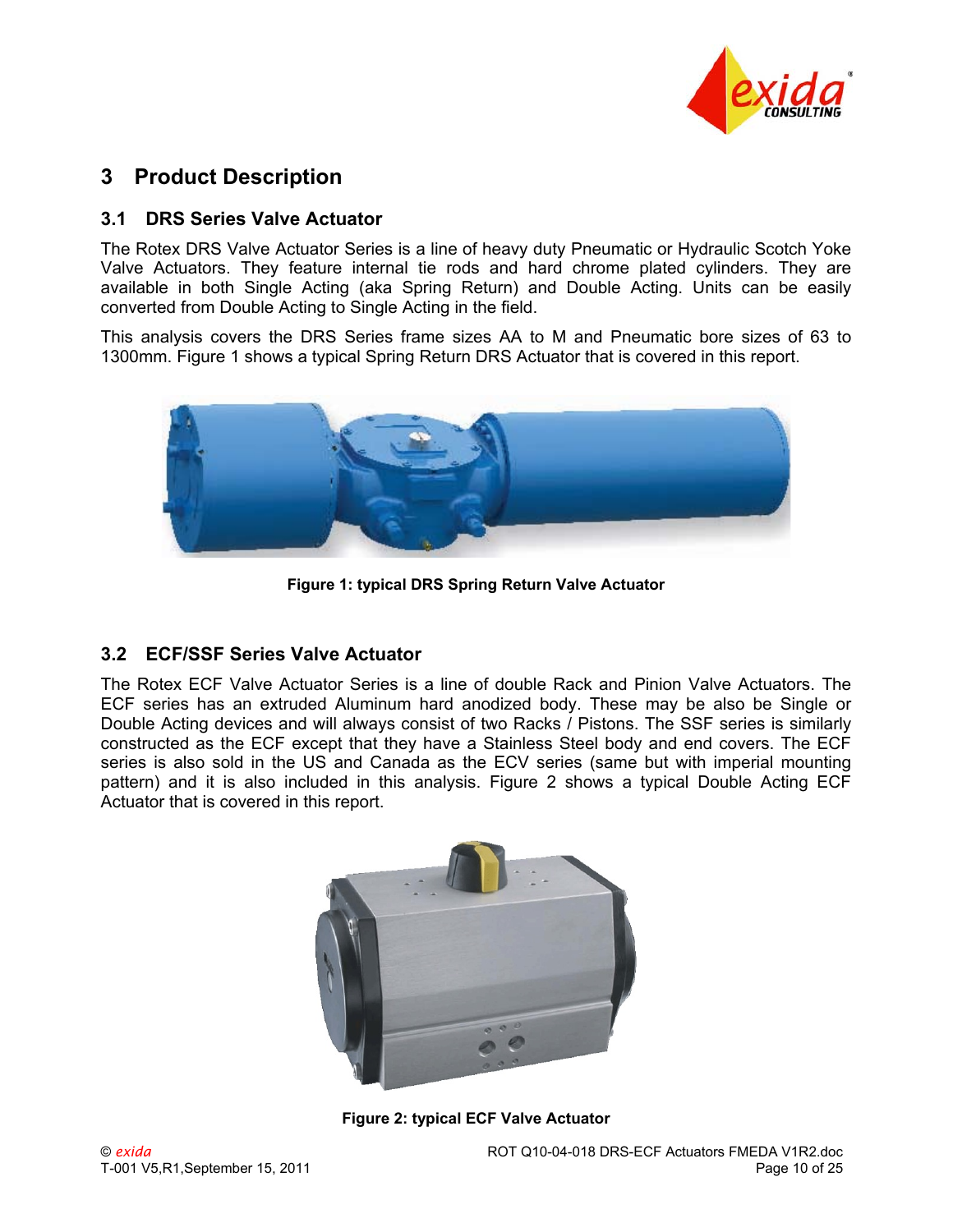

# **3 Product Description**

### <span id="page-9-2"></span>**3.1 DRS Series Valve Actuator**

The Rotex DRS Valve Actuator Series is a line of heavy duty Pneumatic or Hydraulic Scotch Yoke Valve Actuators. They feature internal tie rods and hard chrome plated cylinders. They are available in both Single Acting (aka Spring Return) and Double Acting. Units can be easily converted from Double Acting to Single Acting in the field.

This analysis covers the DRS Series frame sizes AA to M and Pneumatic bore sizes of 63 to 1300mm. Figure 1 shows a typical Spring Return DRS Actuator that is covered in this report.



**Figure 1: typical DRS Spring Return Valve Actuator** 

### **3.2 ECF/SSF Series Valve Actuator**

<span id="page-9-1"></span><span id="page-9-0"></span>The Rotex ECF Valve Actuator Series is a line of double Rack and Pinion Valve Actuators. The ECF series has an extruded Aluminum hard anodized body. These may be also be Single or Double Acting devices and will always consist of two Racks / Pistons. The SSF series is similarly constructed as the ECF except that they have a Stainless Steel body and end covers. The ECF series is also sold in the US and Canada as the ECV series (same but with imperial mounting pattern) and it is also included in this analysis. Figure 2 shows a typical Double Acting ECF Actuator that is covered in this report.



**Figure 2: typical ECF Valve Actuator**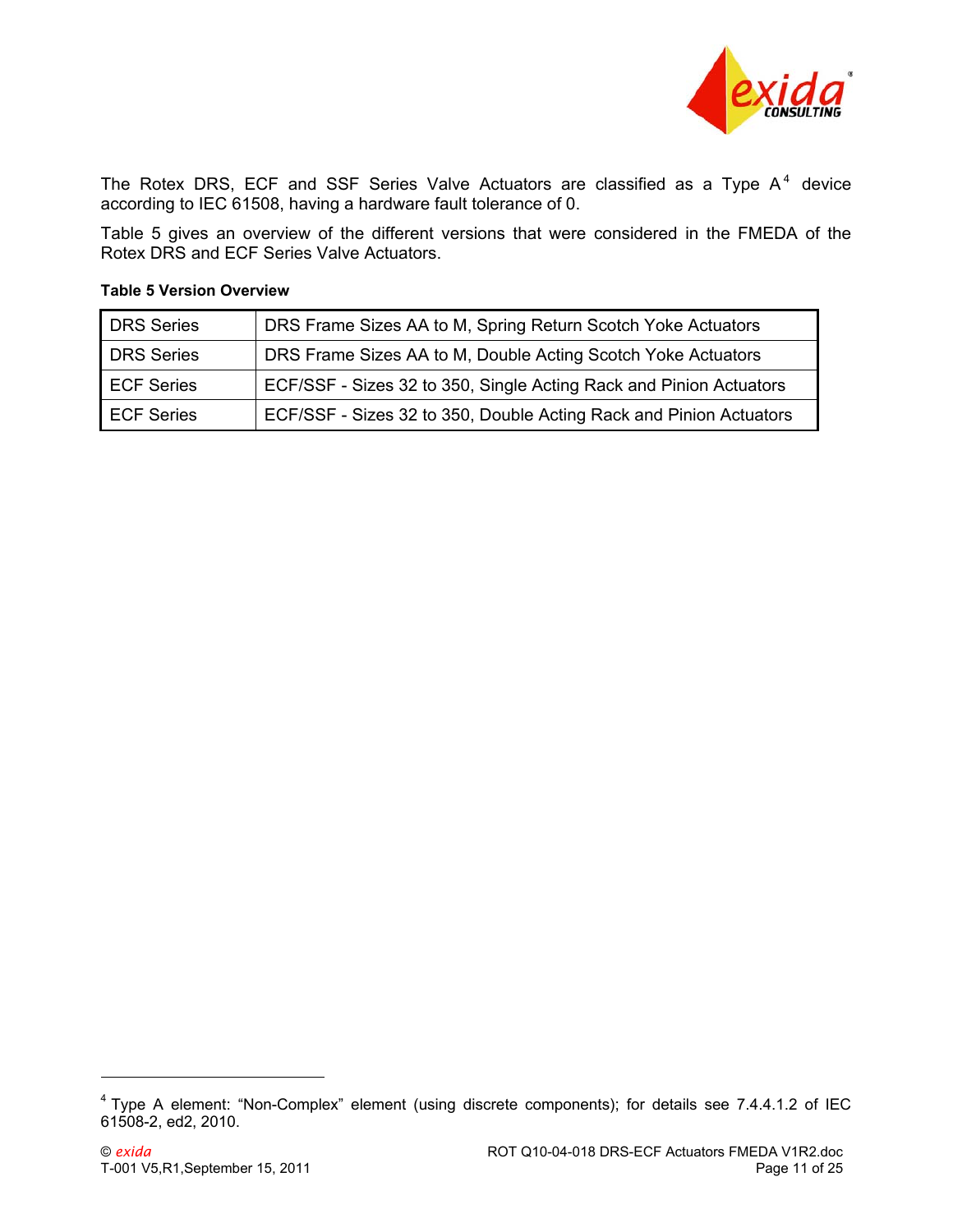

The Rotex DRS, ECF and SSF Series Valve Actuators are classified as a Type  $A<sup>4</sup>$  $A<sup>4</sup>$  $A<sup>4</sup>$  device according to IEC 61508, having a hardware fault tolerance of 0.

[Table 5](#page-10-1) gives an overview of the different versions that were considered in the FMEDA of the Rotex DRS and ECF Series Valve Actuators.

| DRS Series        | DRS Frame Sizes AA to M, Spring Return Scotch Yoke Actuators       |
|-------------------|--------------------------------------------------------------------|
| DRS Series        | DRS Frame Sizes AA to M, Double Acting Scotch Yoke Actuators       |
| <b>ECF Series</b> | ECF/SSF - Sizes 32 to 350, Single Acting Rack and Pinion Actuators |
| <b>ECF Series</b> | ECF/SSF - Sizes 32 to 350, Double Acting Rack and Pinion Actuators |

#### <span id="page-10-1"></span>**Table 5 Version Overview**

 $\overline{a}$ 

<span id="page-10-0"></span> $4$  Type A element: "Non-Complex" element (using discrete components); for details see 7.4.4.1.2 of IEC 61508-2, ed2, 2010.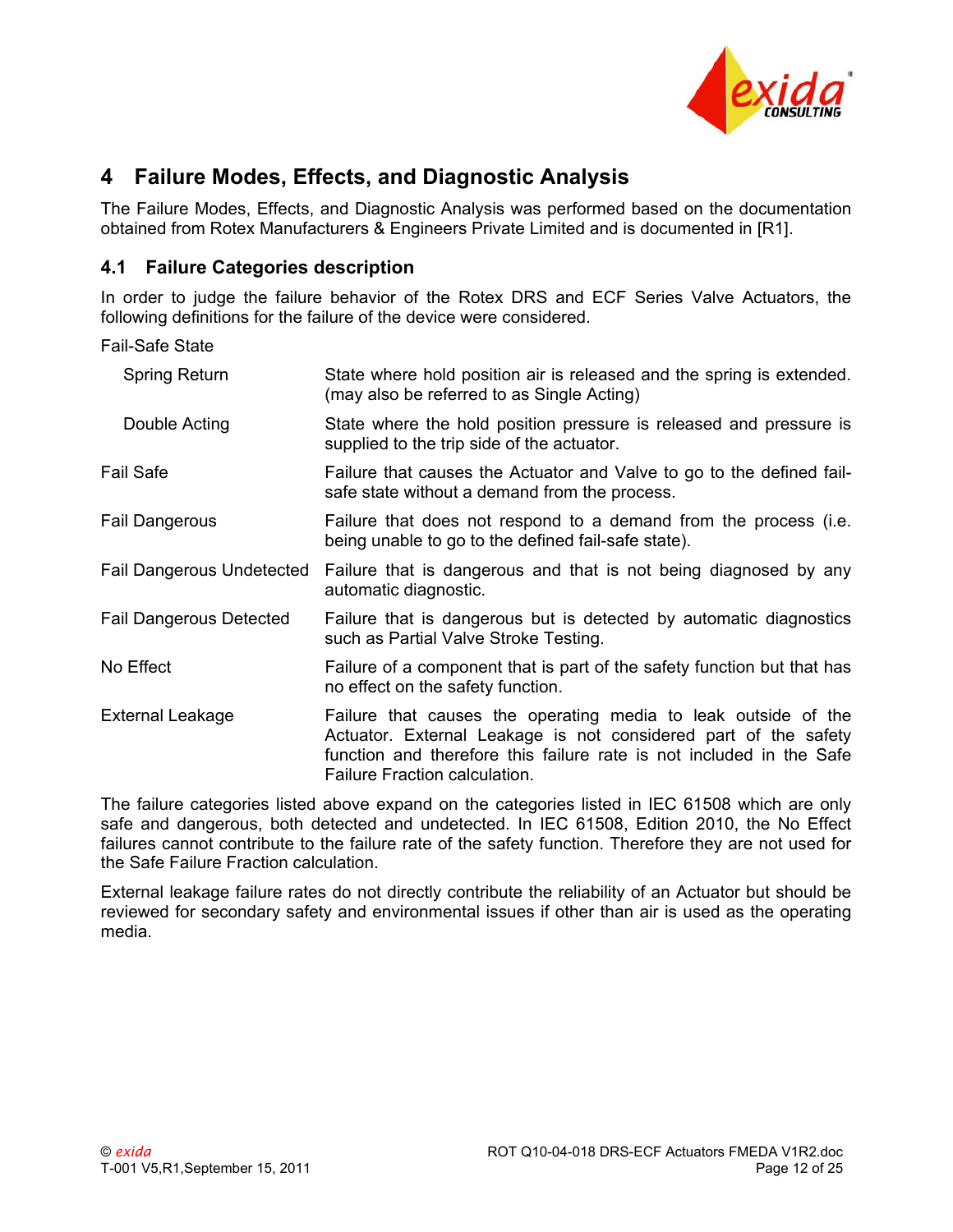

# **4 Failure Modes, Effects, and Diagnostic Analysis**

The Failure Modes, Effects, and Diagnostic Analysis was performed based on the documentation obtained from Rotex Manufacturers & Engineers Private Limited and is documented in [\[R1\].](#page-8-4)

### **4.1 Failure Categories description**

In order to judge the failure behavior of the Rotex DRS and ECF Series Valve Actuators, the following definitions for the failure of the device were considered.

Fail-Safe State

| Spring Return                  | State where hold position air is released and the spring is extended.<br>(may also be referred to as Single Acting)                                                                                                                        |
|--------------------------------|--------------------------------------------------------------------------------------------------------------------------------------------------------------------------------------------------------------------------------------------|
| Double Acting                  | State where the hold position pressure is released and pressure is<br>supplied to the trip side of the actuator.                                                                                                                           |
| Fail Safe                      | Failure that causes the Actuator and Valve to go to the defined fail-<br>safe state without a demand from the process.                                                                                                                     |
| Fail Dangerous                 | Failure that does not respond to a demand from the process (i.e.<br>being unable to go to the defined fail-safe state).                                                                                                                    |
| Fail Dangerous Undetected      | Failure that is dangerous and that is not being diagnosed by any<br>automatic diagnostic.                                                                                                                                                  |
| <b>Fail Dangerous Detected</b> | Failure that is dangerous but is detected by automatic diagnostics<br>such as Partial Valve Stroke Testing.                                                                                                                                |
| No Effect                      | Failure of a component that is part of the safety function but that has<br>no effect on the safety function.                                                                                                                               |
| External Leakage               | Failure that causes the operating media to leak outside of the<br>Actuator. External Leakage is not considered part of the safety<br>function and therefore this failure rate is not included in the Safe<br>Failure Fraction calculation. |
|                                | ┯ <b>ा (</b> पारा। पारा पारापा पारापाल ठाउँ पारापाल स्थान पा                                                                                                                                                                               |

The failure categories listed above expand on the categories listed in IEC 61508 which are only safe and dangerous, both detected and undetected. In IEC 61508, Edition 2010, the No Effect failures cannot contribute to the failure rate of the safety function. Therefore they are not used for the Safe Failure Fraction calculation.

<span id="page-11-1"></span><span id="page-11-0"></span>External leakage failure rates do not directly contribute the reliability of an Actuator but should be reviewed for secondary safety and environmental issues if other than air is used as the operating media.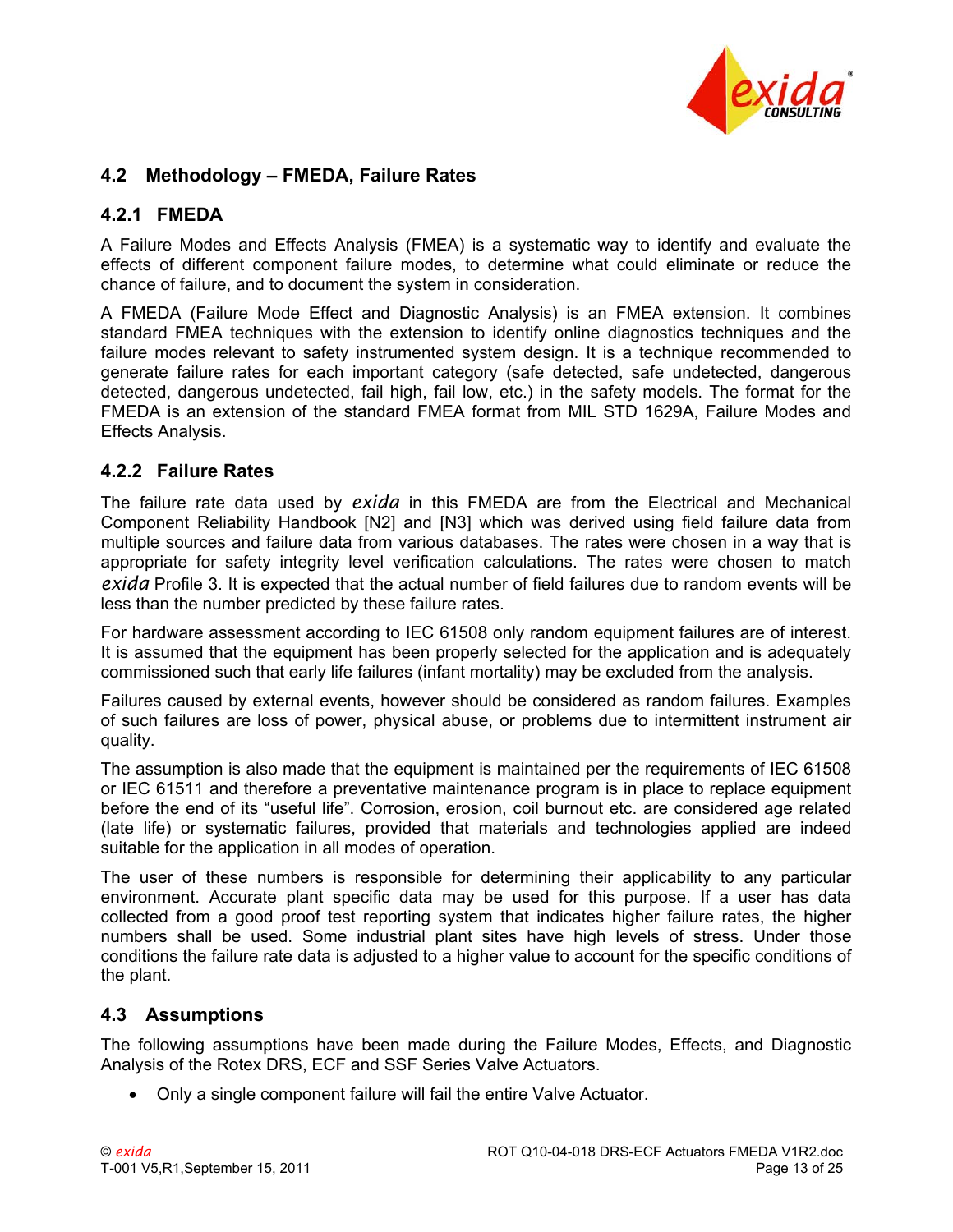

### **4.2 Methodology – FMEDA, Failure Rates**

#### **4.2.1 FMEDA**

A Failure Modes and Effects Analysis (FMEA) is a systematic way to identify and evaluate the effects of different component failure modes, to determine what could eliminate or reduce the chance of failure, and to document the system in consideration.

A FMEDA (Failure Mode Effect and Diagnostic Analysis) is an FMEA extension. It combines standard FMEA techniques with the extension to identify online diagnostics techniques and the failure modes relevant to safety instrumented system design. It is a technique recommended to generate failure rates for each important category (safe detected, safe undetected, dangerous detected, dangerous undetected, fail high, fail low, etc.) in the safety models. The format for the FMEDA is an extension of the standard FMEA format from MIL STD 1629A, Failure Modes and Effects Analysis.

#### <span id="page-12-0"></span>**4.2.2 Failure Rates**

The failure rate data used by *exida* in this FMEDA are from the Electrical and Mechanical Component Reliability Handbook [\[N2\]](#page-7-4) and [\[N3\]](#page-7-5) which was derived using field failure data from multiple sources and failure data from various databases. The rates were chosen in a way that is appropriate for safety integrity level verification calculations. The rates were chosen to match *exida* Profile 3. It is expected that the actual number of field failures due to random events will be less than the number predicted by these failure rates.

For hardware assessment according to IEC 61508 only random equipment failures are of interest. It is assumed that the equipment has been properly selected for the application and is adequately commissioned such that early life failures (infant mortality) may be excluded from the analysis.

Failures caused by external events, however should be considered as random failures. Examples of such failures are loss of power, physical abuse, or problems due to intermittent instrument air quality.

The assumption is also made that the equipment is maintained per the requirements of IEC 61508 or IEC 61511 and therefore a preventative maintenance program is in place to replace equipment before the end of its "useful life". Corrosion, erosion, coil burnout etc. are considered age related (late life) or systematic failures, provided that materials and technologies applied are indeed suitable for the application in all modes of operation.

<span id="page-12-2"></span><span id="page-12-1"></span>The user of these numbers is responsible for determining their applicability to any particular environment. Accurate plant specific data may be used for this purpose. If a user has data collected from a good proof test reporting system that indicates higher failure rates, the higher numbers shall be used. Some industrial plant sites have high levels of stress. Under those conditions the failure rate data is adjusted to a higher value to account for the specific conditions of the plant.

### <span id="page-12-3"></span>**4.3 Assumptions**

The following assumptions have been made during the Failure Modes, Effects, and Diagnostic Analysis of the Rotex DRS, ECF and SSF Series Valve Actuators.

• Only a single component failure will fail the entire Valve Actuator.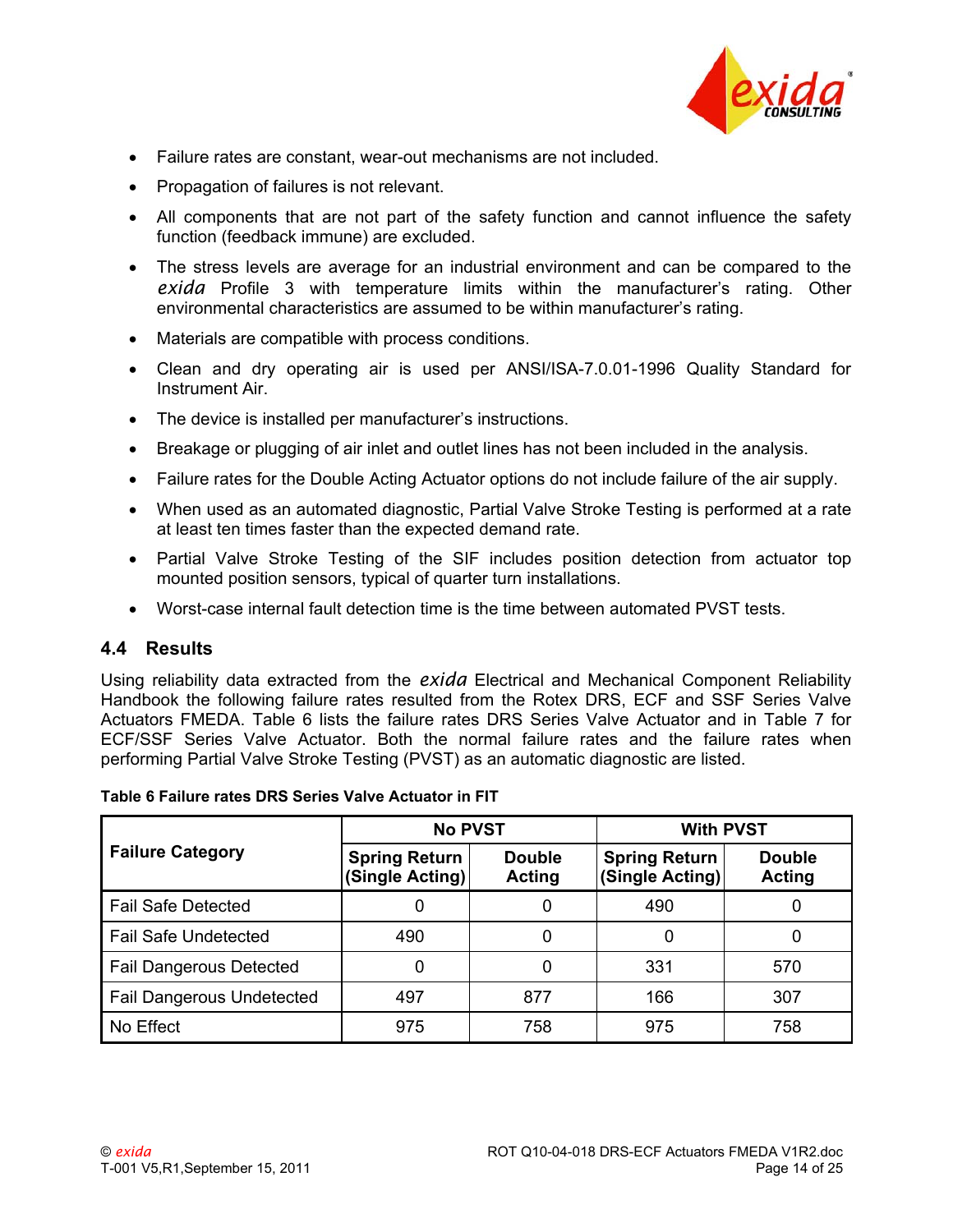

- Failure rates are constant, wear-out mechanisms are not included.
- Propagation of failures is not relevant.
- All components that are not part of the safety function and cannot influence the safety function (feedback immune) are excluded.
- The stress levels are average for an industrial environment and can be compared to the *exida* Profile 3 with temperature limits within the manufacturer's rating. Other environmental characteristics are assumed to be within manufacturer's rating.
- Materials are compatible with process conditions.
- Clean and dry operating air is used per ANSI/ISA-7.0.01-1996 Quality Standard for Instrument Air.
- The device is installed per manufacturer's instructions.
- Breakage or plugging of air inlet and outlet lines has not been included in the analysis.
- Failure rates for the Double Acting Actuator options do not include failure of the air supply.
- When used as an automated diagnostic, Partial Valve Stroke Testing is performed at a rate at least ten times faster than the expected demand rate.
- Partial Valve Stroke Testing of the SIF includes position detection from actuator top mounted position sensors, typical of quarter turn installations.
- Worst-case internal fault detection time is the time between automated PVST tests.

#### <span id="page-13-0"></span>**4.4 Results**

Using reliability data extracted from the *exida* Electrical and Mechanical Component Reliability Handbook the following failure rates resulted from the Rotex DRS, ECF and SSF Series Valve Actuators FMEDA. [Table 6](#page-13-1) lists the failure rates DRS Series Valve Actuator and in [Table 7](#page-14-0) for ECF/SSF Series Valve Actuator. Both the normal failure rates and the failure rates when performing Partial Valve Stroke Testing (PVST) as an automatic diagnostic are listed.

|                                  | <b>No PVST</b>                          |                                | <b>With PVST</b>                        |                                |  |
|----------------------------------|-----------------------------------------|--------------------------------|-----------------------------------------|--------------------------------|--|
| <b>Failure Category</b>          | <b>Spring Return</b><br>(Single Acting) | <b>Double</b><br><b>Acting</b> | <b>Spring Return</b><br>(Single Acting) | <b>Double</b><br><b>Acting</b> |  |
| <b>Fail Safe Detected</b>        |                                         | 0                              | 490                                     |                                |  |
| <b>Fail Safe Undetected</b>      | 490                                     | 0                              | 0                                       |                                |  |
| <b>Fail Dangerous Detected</b>   |                                         | 0                              | 331                                     | 570                            |  |
| <b>Fail Dangerous Undetected</b> | 497                                     | 877                            | 166                                     | 307                            |  |
| No Effect                        | 975                                     | 758                            | 975                                     | 758                            |  |

#### <span id="page-13-1"></span>**Table 6 Failure rates DRS Series Valve Actuator in FIT**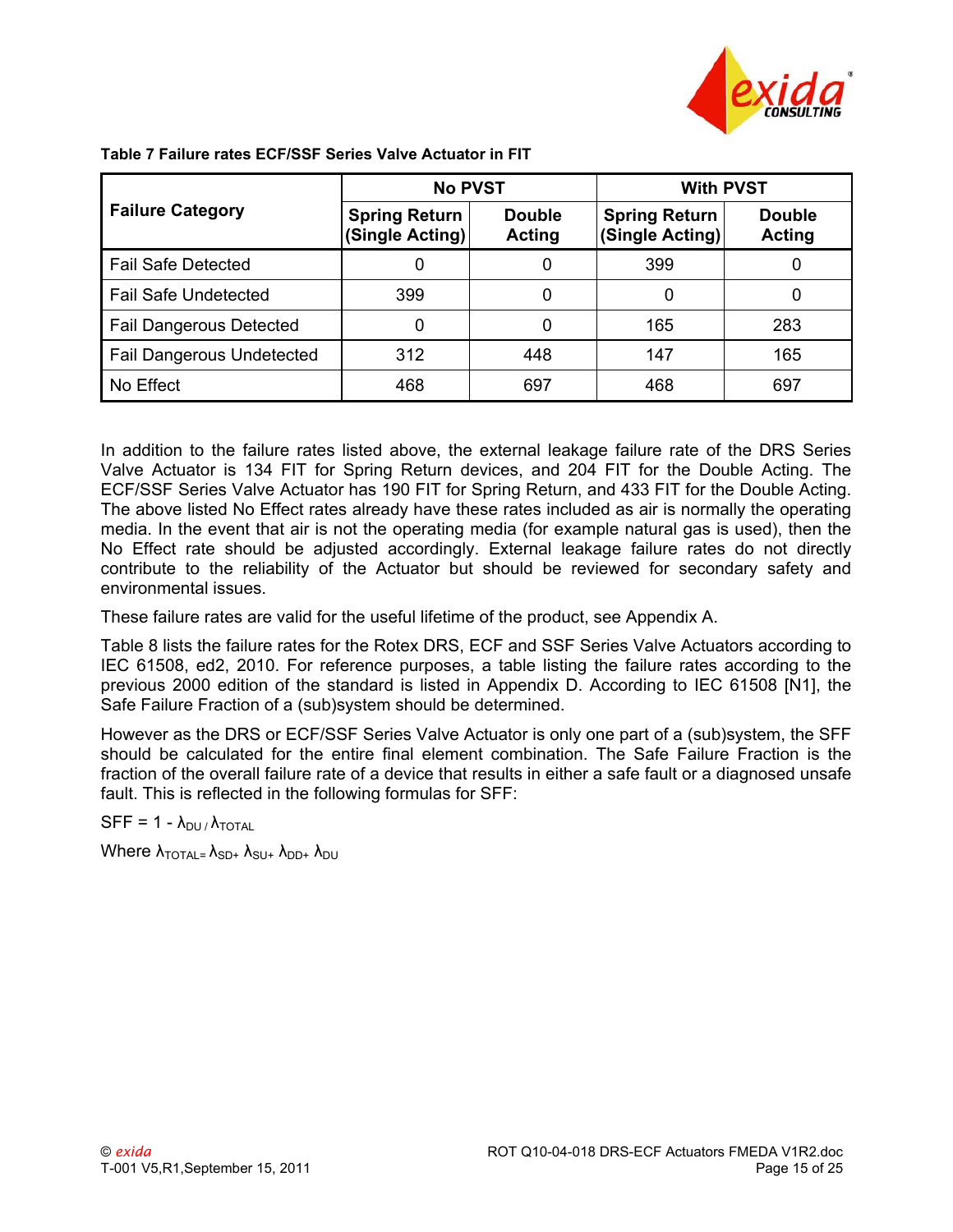

|                                  | <b>No PVST</b>                          |                         | <b>With PVST</b>                        |                         |  |
|----------------------------------|-----------------------------------------|-------------------------|-----------------------------------------|-------------------------|--|
| <b>Failure Category</b>          | <b>Spring Return</b><br>(Single Acting) | <b>Double</b><br>Acting | <b>Spring Return</b><br>(Single Acting) | <b>Double</b><br>Acting |  |
| <b>Fail Safe Detected</b>        |                                         | 0                       | 399                                     |                         |  |
| <b>Fail Safe Undetected</b>      | 399                                     | 0                       | 0                                       |                         |  |
| <b>Fail Dangerous Detected</b>   |                                         | 0                       | 165                                     | 283                     |  |
| <b>Fail Dangerous Undetected</b> | 312                                     | 448                     | 147                                     | 165                     |  |
| No Effect                        | 468                                     | 697                     | 468                                     | 697                     |  |

<span id="page-14-0"></span>**Table 7 Failure rates ECF/SSF Series Valve Actuator in FIT** 

In addition to the failure rates listed above, the external leakage failure rate of the DRS Series Valve Actuator is 134 FIT for Spring Return devices, and 204 FIT for the Double Acting. The ECF/SSF Series Valve Actuator has 190 FIT for Spring Return, and 433 FIT for the Double Acting. The above listed No Effect rates already have these rates included as air is normally the operating media. In the event that air is not the operating media (for example natural gas is used), then the No Effect rate should be adjusted accordingly. External leakage failure rates do not directly contribute to the reliability of the Actuator but should be reviewed for secondary safety and environmental issues.

These failure rates are valid for the useful lifetime of the product, see [Appendix A](#page-21-0).

[Table 8](#page-15-0) lists the failure rates for the Rotex DRS, ECF and SSF Series Valve Actuators according to IEC 61508, ed2, 2010. For reference purposes, a table listing the failure rates according to the previous 2000 edition of the standard is listed in [Appendix D](#page-24-0). According to IEC 61508 [\[N1\]](#page-7-6), the Safe Failure Fraction of a (sub)system should be determined.

However as the DRS or ECF/SSF Series Valve Actuator is only one part of a (sub)system, the SFF should be calculated for the entire final element combination. The Safe Failure Fraction is the fraction of the overall failure rate of a device that results in either a safe fault or a diagnosed unsafe fault. This is reflected in the following formulas for SFF:

 $SFF = 1 - \lambda_{DU} / \lambda_{TOTAL}$ 

Where  $\lambda_{\text{TOTAL}} = \lambda_{SD+} \lambda_{SU+} \lambda_{DD+} \lambda_{DU}$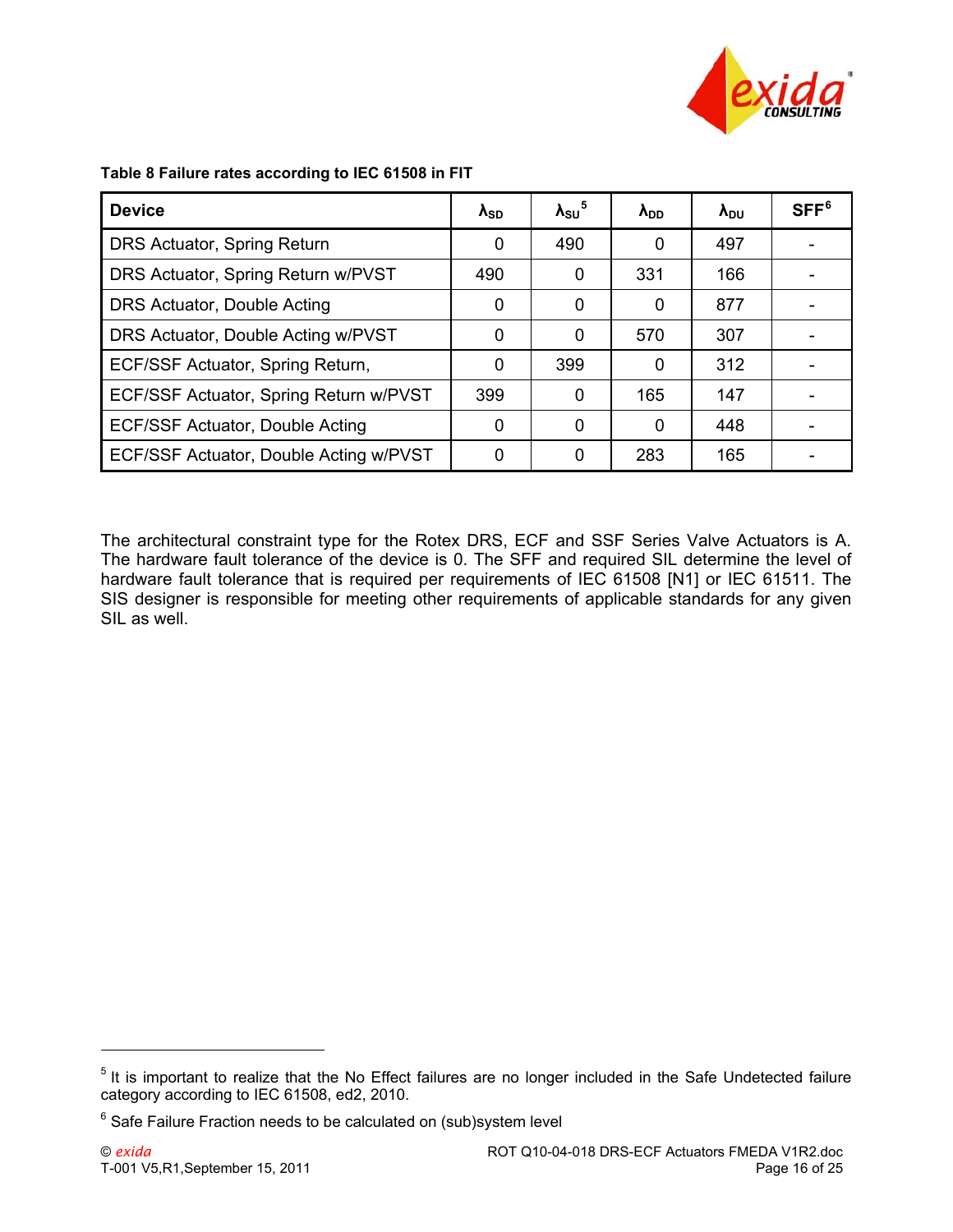

| <b>Device</b>                          | $\lambda_{SD}$ | $\lambda_{\rm SU}$ <sup>5</sup> | $\lambda_{DD}$ | $\lambda_{\text{DU}}$ | SFF <sup>6</sup> |
|----------------------------------------|----------------|---------------------------------|----------------|-----------------------|------------------|
| DRS Actuator, Spring Return            | 0              | 490                             | 0              | 497                   |                  |
| DRS Actuator, Spring Return w/PVST     | 490            | 0                               | 331            | 166                   |                  |
| DRS Actuator, Double Acting            | 0              | 0                               | 0              | 877                   |                  |
| DRS Actuator, Double Acting w/PVST     | 0              | 0                               | 570            | 307                   |                  |
| ECF/SSF Actuator, Spring Return,       | $\Omega$       | 399                             | 0              | 312                   |                  |
| ECF/SSF Actuator, Spring Return w/PVST | 399            | 0                               | 165            | 147                   |                  |
| ECF/SSF Actuator, Double Acting        | 0              | 0                               | 0              | 448                   |                  |
| ECF/SSF Actuator, Double Acting w/PVST | 0              | 0                               | 283            | 165                   |                  |

#### <span id="page-15-0"></span>**Table 8 Failure rates according to IEC 61508 in FIT**

The architectural constraint type for the Rotex DRS, ECF and SSF Series Valve Actuators is A. The hardware fault tolerance of the device is 0. The SFF and required SIL determine the level of hardware fault tolerance that is required per requirements of IEC 61508 [N1] or IEC 61511. The SIS designer is responsible for meeting other requirements of applicable standards for any given SIL as well.

 $\overline{a}$ 

<span id="page-15-1"></span><sup>&</sup>lt;sup>5</sup> It is important to realize that the No Effect failures are no longer included in the Safe Undetected failure category according to IEC 61508, ed2, 2010.

<span id="page-15-2"></span> $6$  Safe Failure Fraction needs to be calculated on (sub)system level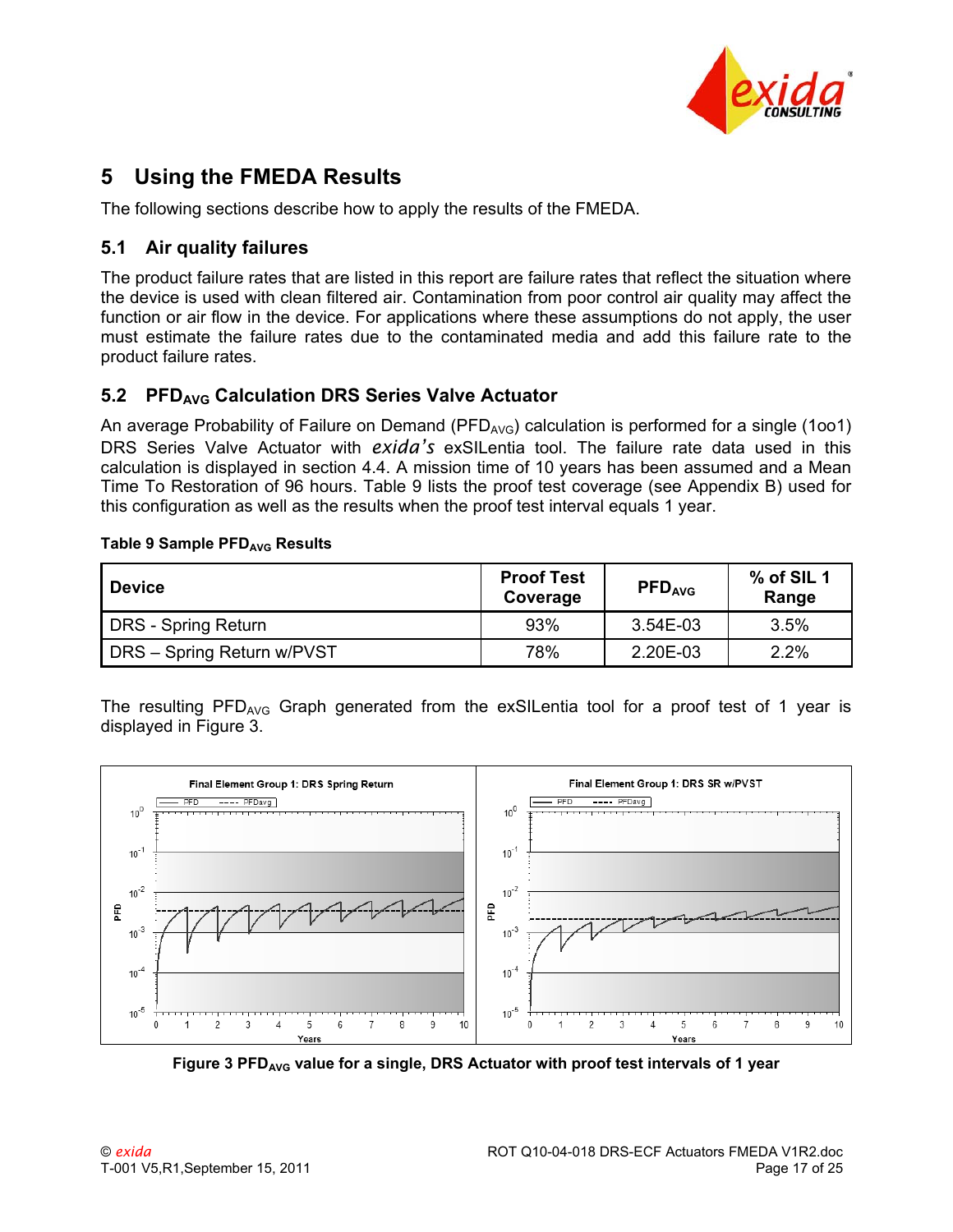

# <span id="page-16-0"></span>**5 Using the FMEDA Results**

The following sections describe how to apply the results of the FMEDA.

### <span id="page-16-1"></span>**5.1 Air quality failures**

The product failure rates that are listed in this report are failure rates that reflect the situation where the device is used with clean filtered air. Contamination from poor control air quality may affect the function or air flow in the device. For applications where these assumptions do not apply, the user must estimate the failure rates due to the contaminated media and add this failure rate to the product failure rates.

## <span id="page-16-2"></span>**5.2 PFDAVG Calculation DRS Series Valve Actuator**

An average Probability of Failure on Demand (PFD<sub>AVG</sub>) calculation is performed for a single (1001) DRS Series Valve Actuator with *exida's* exSILentia tool. The failure rate data used in this calculation is displayed in section [4.4.](#page-13-0) A mission time of 10 years has been assumed and a Mean Time To Restoration of 96 hours. [Table 9](#page-16-3) lists the proof test coverage (see [Appendix B](#page-22-0)) used for this configuration as well as the results when the proof test interval equals 1 year.

#### <span id="page-16-3"></span>**Table 9 Sample PFD<sub>AVG</sub> Results**

| <b>Device</b>              | <b>Proof Test</b><br>Coverage | <b>PFD<sub>AVG</sub></b> | $%$ of SIL 1<br>Range |  |
|----------------------------|-------------------------------|--------------------------|-----------------------|--|
| DRS - Spring Return        | 93%                           | 3.54E-03                 | 3.5%                  |  |
| DRS - Spring Return w/PVST | 78%                           | 2.20E-03                 | 2.2%                  |  |

The resulting  $PFD_{AVG}$  Graph generated from the exSILentia tool for a proof test of 1 year is displayed in [Figure 3](#page-16-4).



<span id="page-16-4"></span>Figure 3 PFD<sub>AVG</sub> value for a single, DRS Actuator with proof test intervals of 1 year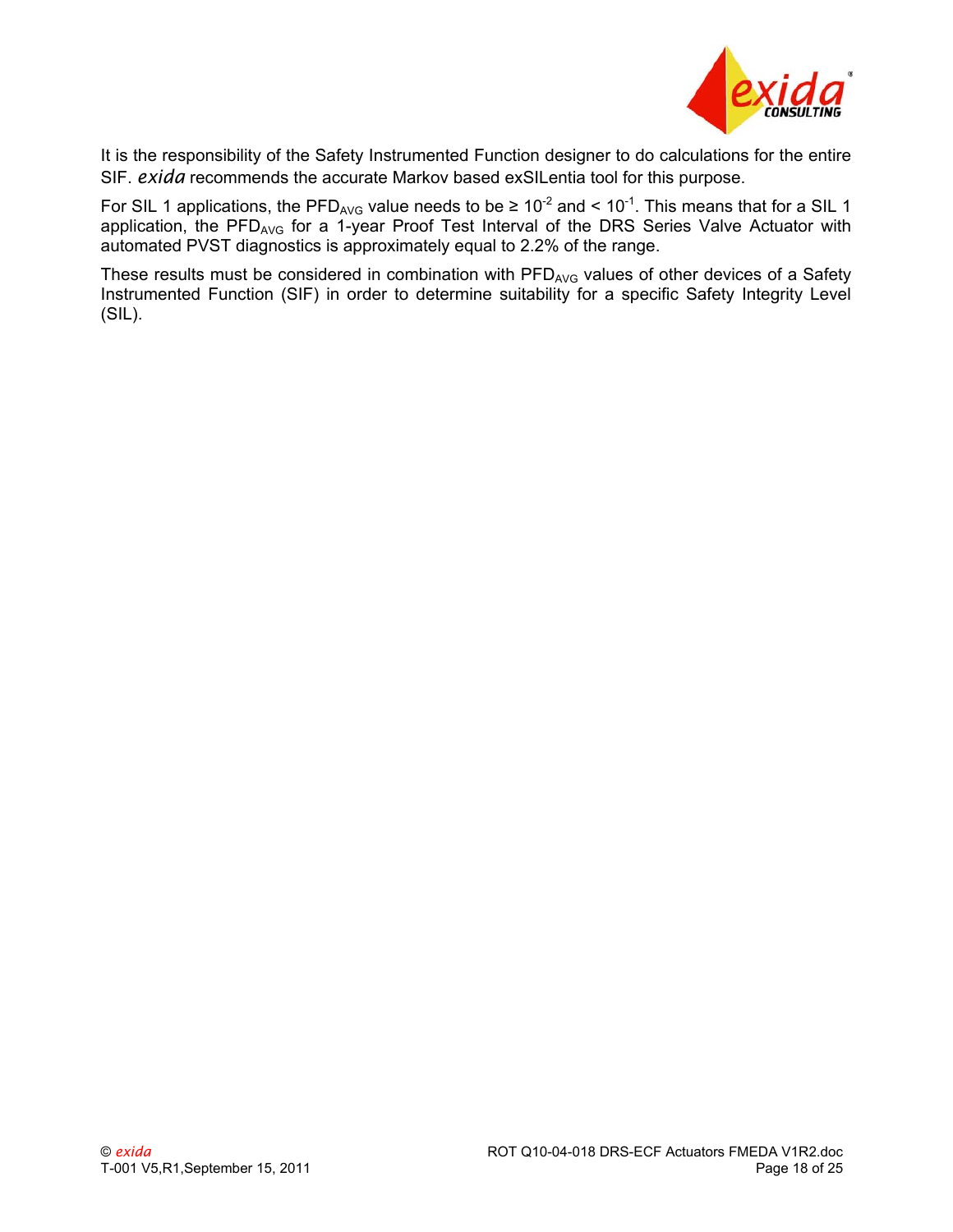

It is the responsibility of the Safety Instrumented Function designer to do calculations for the entire SIF. *exida* recommends the accurate Markov based exSILentia tool for this purpose.

For SIL 1 applications, the PFD<sub>AVG</sub> value needs to be  $\geq 10^{-2}$  and < 10<sup>-1</sup>. This means that for a SIL 1 application, the PFD<sub>AVG</sub> for a 1-year Proof Test Interval of the DRS Series Valve Actuator with automated PVST diagnostics is approximately equal to 2.2% of the range.

These results must be considered in combination with PFD<sub>AVG</sub> values of other devices of a Safety Instrumented Function (SIF) in order to determine suitability for a specific Safety Integrity Level (SIL).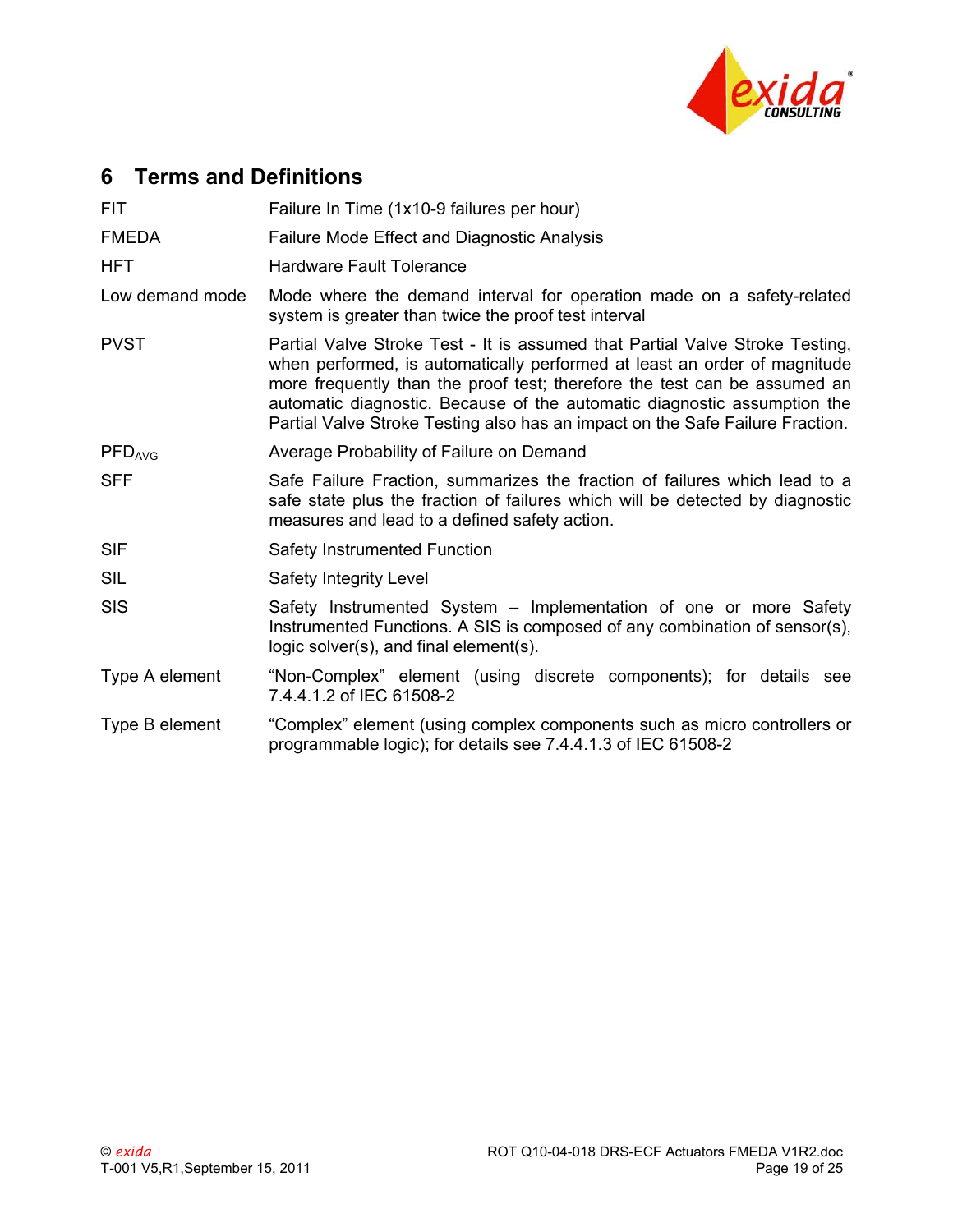

# <span id="page-18-0"></span>**6 Terms and Definitions**

| <b>FIT</b>         | Failure In Time (1x10-9 failures per hour)                                                                                                                                                                                                                                                                                                                                                          |  |  |  |  |
|--------------------|-----------------------------------------------------------------------------------------------------------------------------------------------------------------------------------------------------------------------------------------------------------------------------------------------------------------------------------------------------------------------------------------------------|--|--|--|--|
| <b>FMEDA</b>       | <b>Failure Mode Effect and Diagnostic Analysis</b>                                                                                                                                                                                                                                                                                                                                                  |  |  |  |  |
| <b>HFT</b>         | <b>Hardware Fault Tolerance</b>                                                                                                                                                                                                                                                                                                                                                                     |  |  |  |  |
| Low demand mode    | Mode where the demand interval for operation made on a safety-related<br>system is greater than twice the proof test interval                                                                                                                                                                                                                                                                       |  |  |  |  |
| <b>PVST</b>        | Partial Valve Stroke Test - It is assumed that Partial Valve Stroke Testing,<br>when performed, is automatically performed at least an order of magnitude<br>more frequently than the proof test; therefore the test can be assumed an<br>automatic diagnostic. Because of the automatic diagnostic assumption the<br>Partial Valve Stroke Testing also has an impact on the Safe Failure Fraction. |  |  |  |  |
| PFD <sub>AVG</sub> | Average Probability of Failure on Demand                                                                                                                                                                                                                                                                                                                                                            |  |  |  |  |
| <b>SFF</b>         | Safe Failure Fraction, summarizes the fraction of failures which lead to a<br>safe state plus the fraction of failures which will be detected by diagnostic<br>measures and lead to a defined safety action.                                                                                                                                                                                        |  |  |  |  |
| <b>SIF</b>         | Safety Instrumented Function                                                                                                                                                                                                                                                                                                                                                                        |  |  |  |  |
| <b>SIL</b>         | Safety Integrity Level                                                                                                                                                                                                                                                                                                                                                                              |  |  |  |  |
| <b>SIS</b>         | Safety Instrumented System – Implementation of one or more Safety<br>Instrumented Functions. A SIS is composed of any combination of sensor(s),<br>logic solver(s), and final element(s).                                                                                                                                                                                                           |  |  |  |  |
| Type A element     | "Non-Complex" element (using discrete components); for details see<br>7.4.4.1.2 of IEC 61508-2                                                                                                                                                                                                                                                                                                      |  |  |  |  |
| Type B element     | "Complex" element (using complex components such as micro controllers or<br>programmable logic); for details see 7.4.4.1.3 of IEC 61508-2                                                                                                                                                                                                                                                           |  |  |  |  |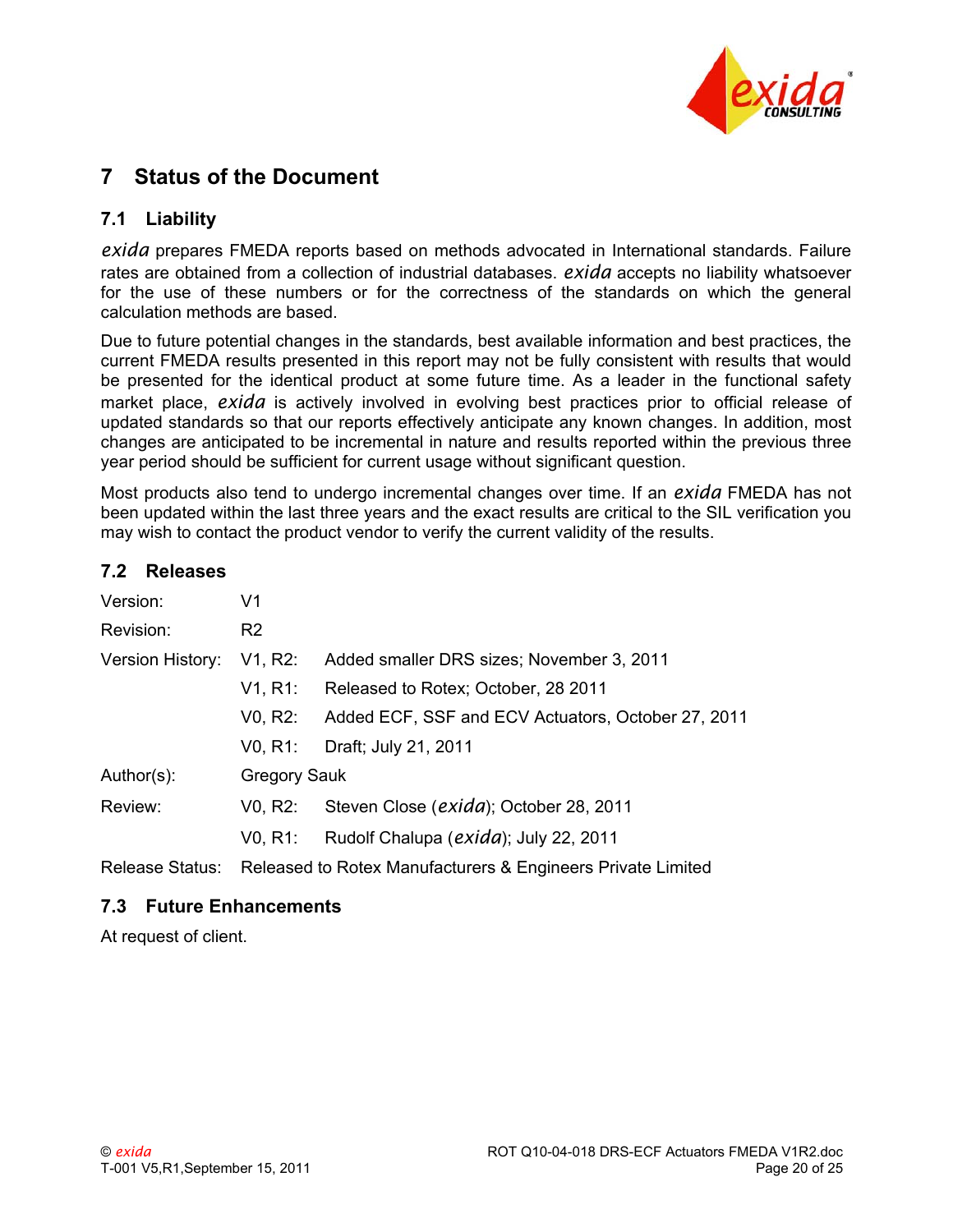

# <span id="page-19-0"></span>**7 Status of the Document**

### <span id="page-19-1"></span>**7.1 Liability**

*exida* prepares FMEDA reports based on methods advocated in International standards. Failure rates are obtained from a collection of industrial databases. *exida* accepts no liability whatsoever for the use of these numbers or for the correctness of the standards on which the general calculation methods are based.

Due to future potential changes in the standards, best available information and best practices, the current FMEDA results presented in this report may not be fully consistent with results that would be presented for the identical product at some future time. As a leader in the functional safety market place, *exida* is actively involved in evolving best practices prior to official release of updated standards so that our reports effectively anticipate any known changes. In addition, most changes are anticipated to be incremental in nature and results reported within the previous three year period should be sufficient for current usage without significant question.

Most products also tend to undergo incremental changes over time. If an *exida* FMEDA has not been updated within the last three years and the exact results are critical to the SIL verification you may wish to contact the product vendor to verify the current validity of the results.

#### <span id="page-19-2"></span>**7.2 Releases**

| Version:         | V <sub>1</sub>                    |                                                             |
|------------------|-----------------------------------|-------------------------------------------------------------|
| Revision:        | R <sub>2</sub>                    |                                                             |
| Version History: | V1, R2:                           | Added smaller DRS sizes; November 3, 2011                   |
|                  | V1, R1:                           | Released to Rotex; October, 28 2011                         |
|                  | V <sub>0</sub> , R <sub>2</sub> : | Added ECF, SSF and ECV Actuators, October 27, 2011          |
|                  | V0, R1:                           | Draft; July 21, 2011                                        |
| Author(s):       | <b>Gregory Sauk</b>               |                                                             |
| Review:          | V <sub>0</sub> , R <sub>2</sub> : | Steven Close (exida); October 28, 2011                      |
|                  | V0, R1:                           | Rudolf Chalupa (exida); July 22, 2011                       |
| Release Status:  |                                   | Released to Rotex Manufacturers & Engineers Private Limited |

### <span id="page-19-3"></span>**7.3 Future Enhancements**

At request of client.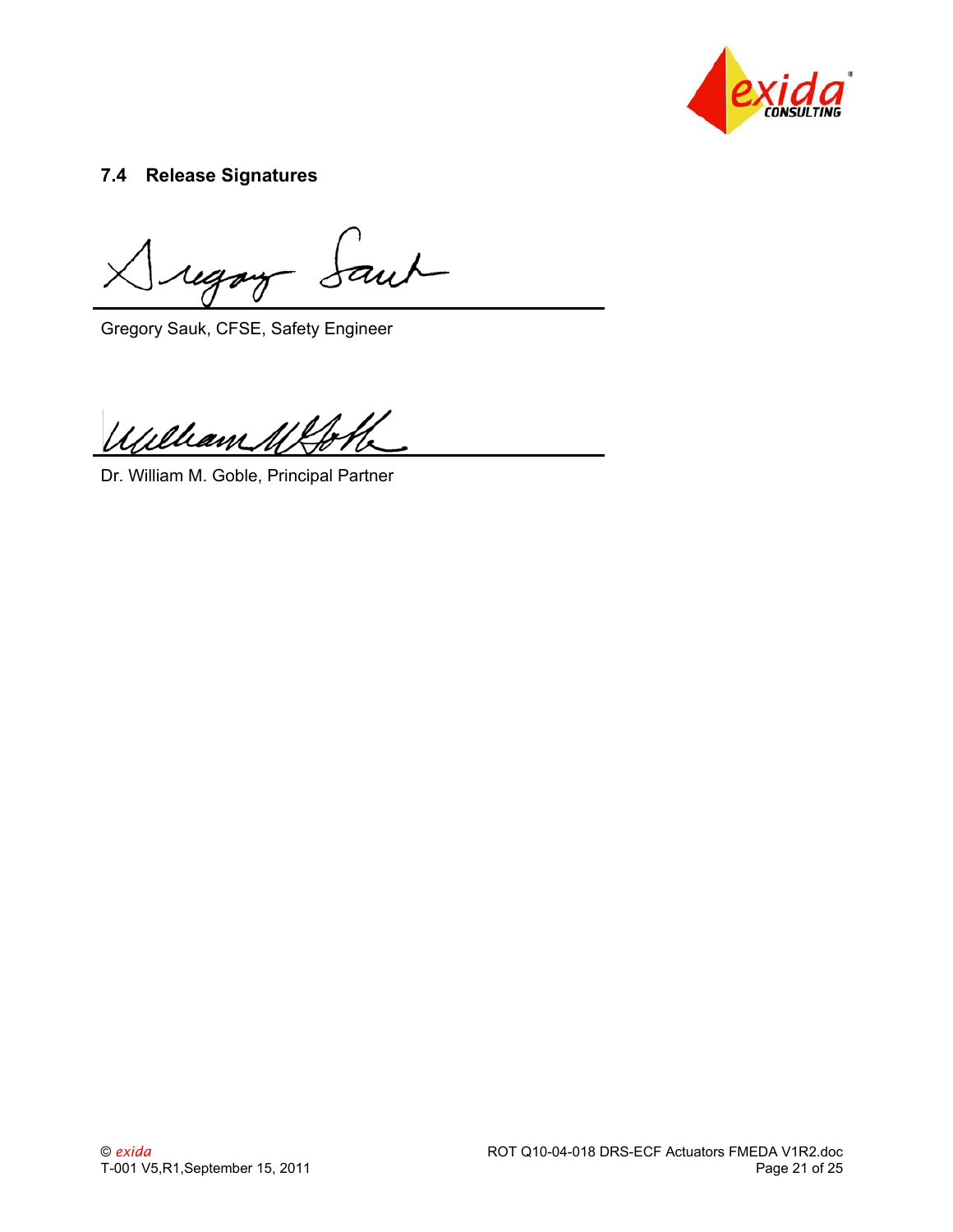

## <span id="page-20-0"></span>**7.4 Release Signatures**

faut igor

Gregory Sauk, CFSE, Safety Engineer

Williams

Dr. William M. Goble, Principal Partner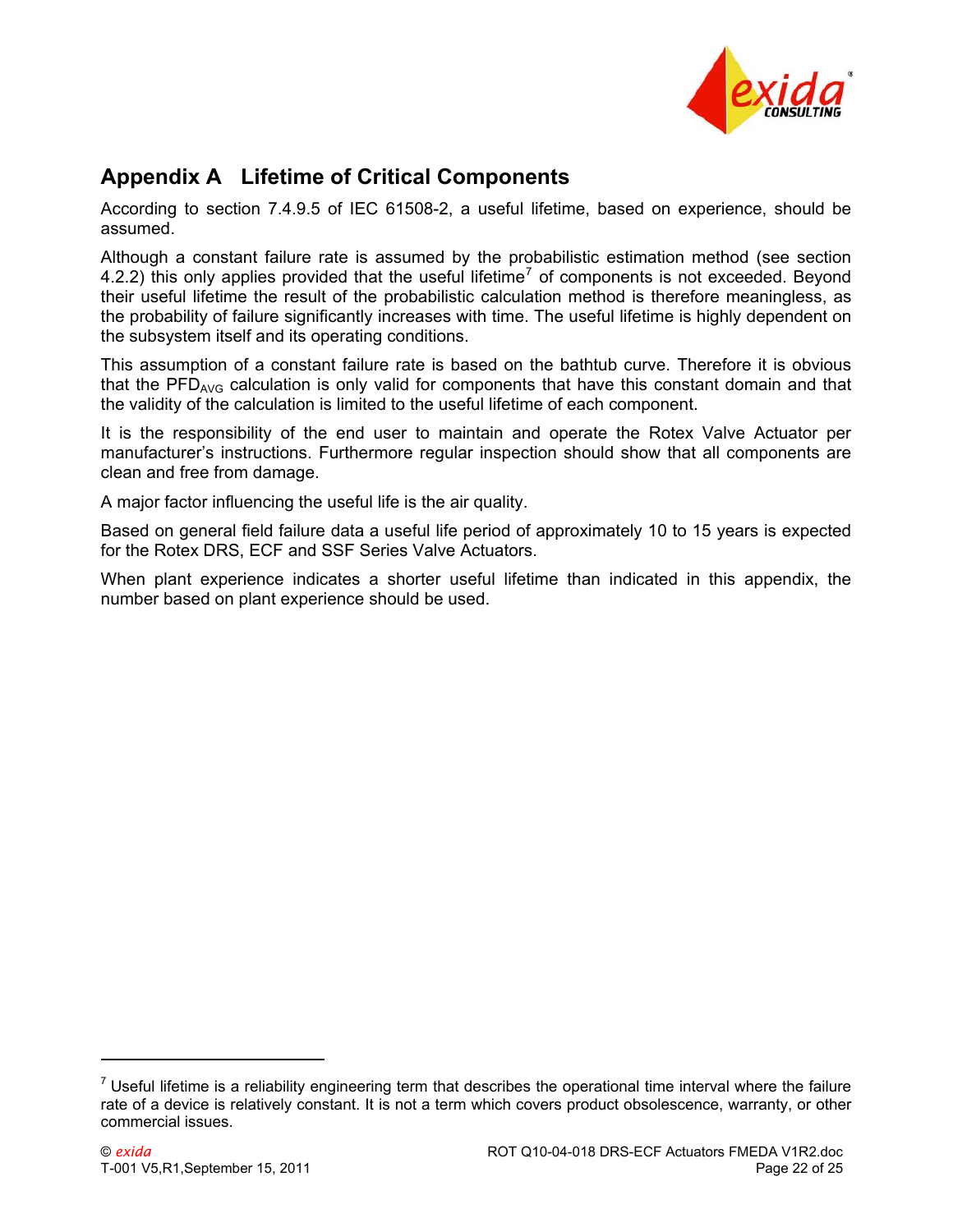

# <span id="page-21-0"></span>**Appendix A Lifetime of Critical Components**

According to section 7.4.9.5 of IEC 61508-2, a useful lifetime, based on experience, should be assumed.

Although a constant failure rate is assumed by the probabilistic estimation method (see section [4.2.2](#page-12-0)) this only applies provided that the useful lifetime<sup>[7](#page-21-1)</sup> of components is not exceeded. Beyond their useful lifetime the result of the probabilistic calculation method is therefore meaningless, as the probability of failure significantly increases with time. The useful lifetime is highly dependent on the subsystem itself and its operating conditions.

This assumption of a constant failure rate is based on the bathtub curve. Therefore it is obvious that the  $PFD_{AVG}$  calculation is only valid for components that have this constant domain and that the validity of the calculation is limited to the useful lifetime of each component.

It is the responsibility of the end user to maintain and operate the Rotex Valve Actuator per manufacturer's instructions. Furthermore regular inspection should show that all components are clean and free from damage.

A major factor influencing the useful life is the air quality.

Based on general field failure data a useful life period of approximately 10 to 15 years is expected for the Rotex DRS, ECF and SSF Series Valve Actuators.

When plant experience indicates a shorter useful lifetime than indicated in this appendix, the number based on plant experience should be used.

 $\overline{a}$ 

<span id="page-21-1"></span> $<sup>7</sup>$  Useful lifetime is a reliability engineering term that describes the operational time interval where the failure</sup> rate of a device is relatively constant. It is not a term which covers product obsolescence, warranty, or other commercial issues.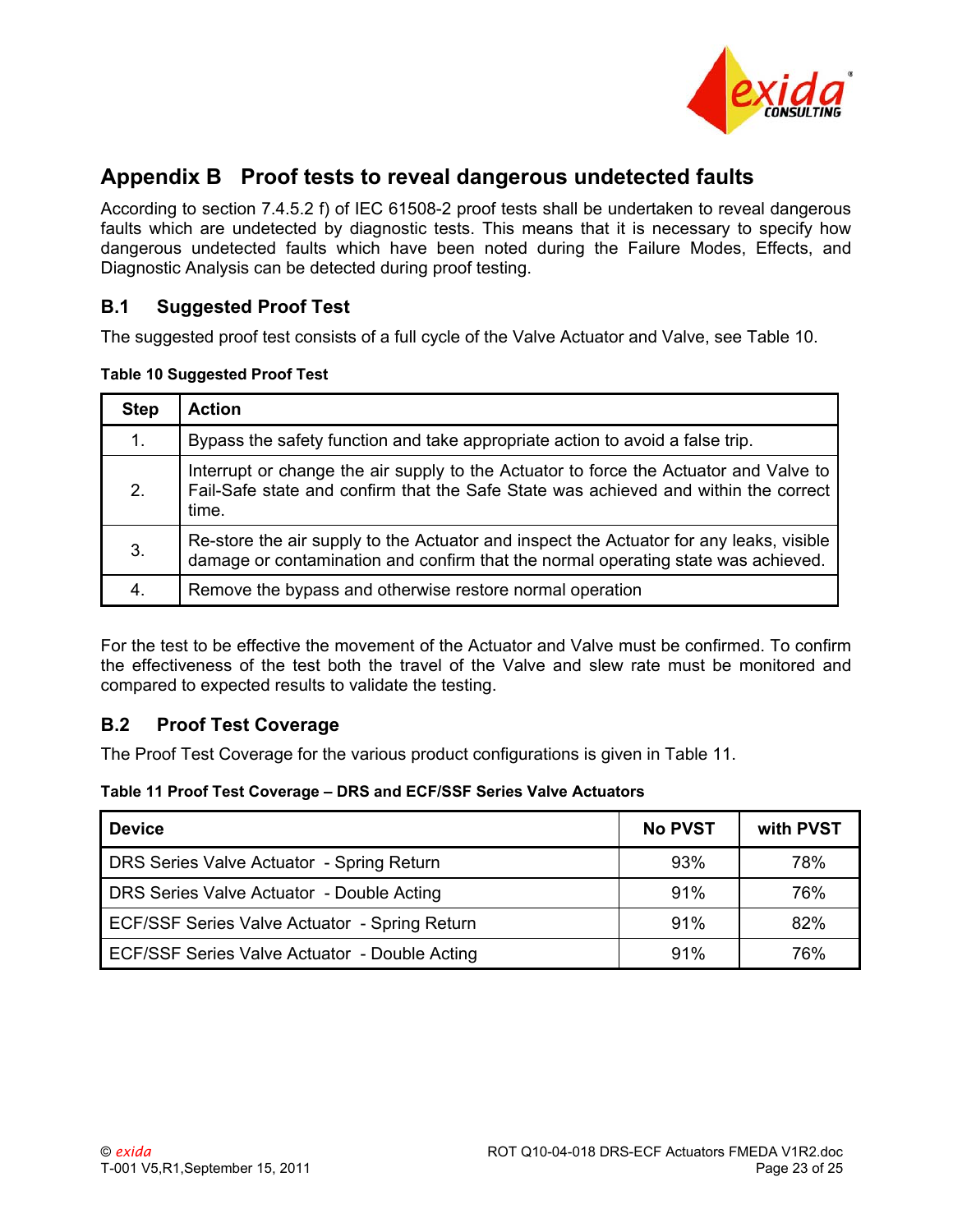

# <span id="page-22-0"></span>**Appendix B Proof tests to reveal dangerous undetected faults**

According to section 7.4.5.2 f) of IEC 61508-2 proof tests shall be undertaken to reveal dangerous faults which are undetected by diagnostic tests. This means that it is necessary to specify how dangerous undetected faults which have been noted during the Failure Modes, Effects, and Diagnostic Analysis can be detected during proof testing.

### <span id="page-22-1"></span>**B.1 Suggested Proof Test**

The suggested proof test consists of a full cycle of the Valve Actuator and Valve, see [Table 10.](#page-22-3)

#### <span id="page-22-3"></span>**Table 10 Suggested Proof Test**

| <b>Step</b> | <b>Action</b>                                                                                                                                                                         |
|-------------|---------------------------------------------------------------------------------------------------------------------------------------------------------------------------------------|
| 1.          | Bypass the safety function and take appropriate action to avoid a false trip.                                                                                                         |
| 2.          | Interrupt or change the air supply to the Actuator to force the Actuator and Valve to<br>Fail-Safe state and confirm that the Safe State was achieved and within the correct<br>time. |
| 3.          | Re-store the air supply to the Actuator and inspect the Actuator for any leaks, visible<br>damage or contamination and confirm that the normal operating state was achieved.          |
| 4.          | Remove the bypass and otherwise restore normal operation                                                                                                                              |

For the test to be effective the movement of the Actuator and Valve must be confirmed. To confirm the effectiveness of the test both the travel of the Valve and slew rate must be monitored and compared to expected results to validate the testing.

## <span id="page-22-2"></span>**B.2 Proof Test Coverage**

The Proof Test Coverage for the various product configurations is given in [Table 11](#page-22-4).

#### <span id="page-22-4"></span>**Table 11 Proof Test Coverage – DRS and ECF/SSF Series Valve Actuators**

| <b>Device</b>                                 | <b>No PVST</b> | with PVST |
|-----------------------------------------------|----------------|-----------|
| DRS Series Valve Actuator - Spring Return     | 93%            | 78%       |
| DRS Series Valve Actuator - Double Acting     | 91%            | 76%       |
| ECF/SSF Series Valve Actuator - Spring Return | 91%            | 82%       |
| ECF/SSF Series Valve Actuator - Double Acting | 91%            | 76%       |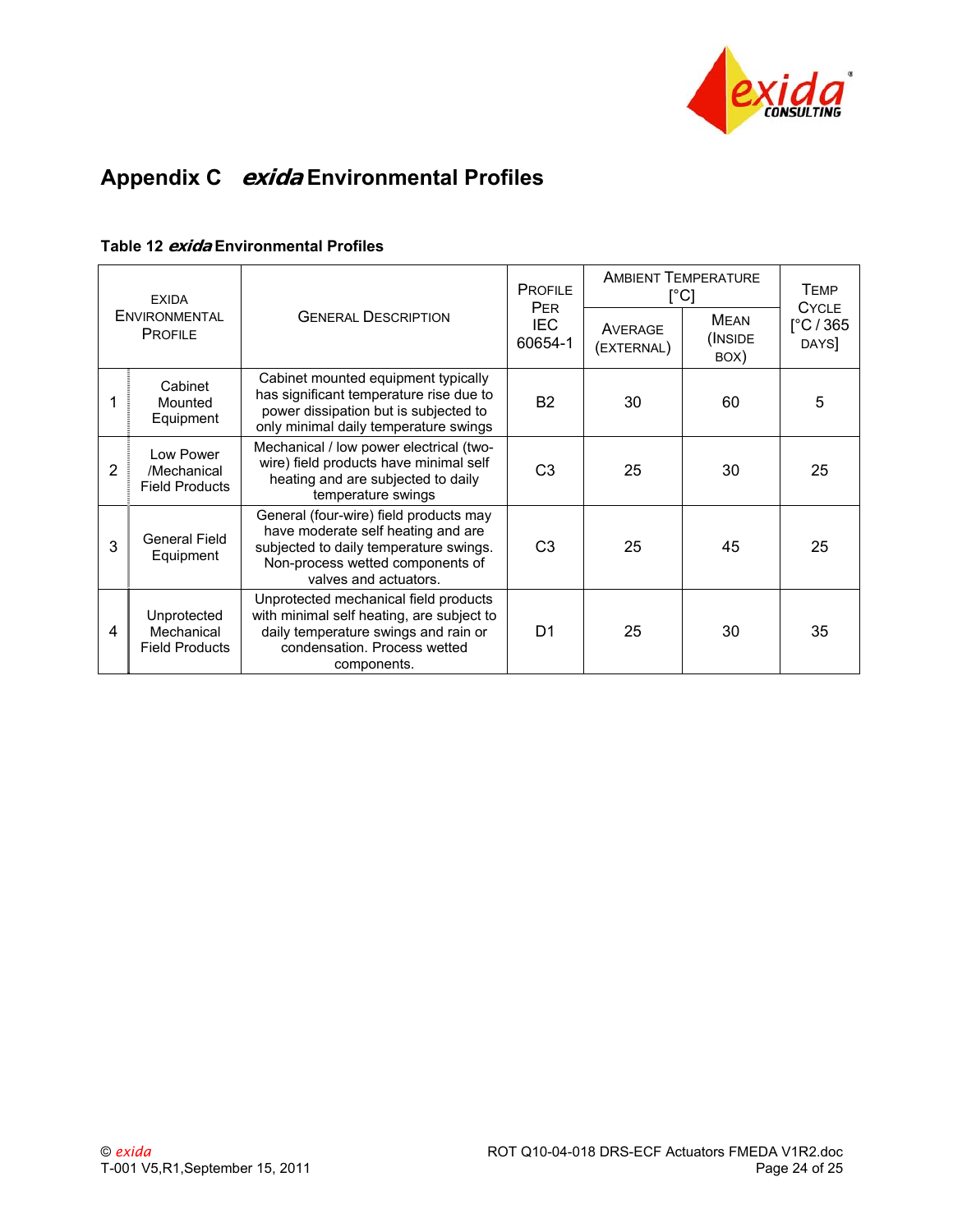

# <span id="page-23-0"></span>**Appendix C exida Environmental Profiles**

|  |  | Table 12 <i>exida</i> Environmental Profiles |  |
|--|--|----------------------------------------------|--|
|--|--|----------------------------------------------|--|

| <b>EXIDA</b> |                                                    |                                                                                                                                                                                     | <b>PROFILE</b><br><b>PER</b> | <b>AMBIENT TEMPERATURE</b><br>$\lceil{^{\circ}C}\rceil$ |                         | <b>TEMP</b><br><b>CYCLE</b>                     |
|--------------|----------------------------------------------------|-------------------------------------------------------------------------------------------------------------------------------------------------------------------------------------|------------------------------|---------------------------------------------------------|-------------------------|-------------------------------------------------|
|              | <b>ENVIRONMENTAL</b><br><b>PROFILE</b>             | <b>GENERAL DESCRIPTION</b>                                                                                                                                                          | <b>IEC</b><br>60654-1        | AVERAGE<br>(EXTERNAL)                                   | MFAN<br>(INSIDE<br>BOX) | $\lceil^{\circ} \text{C} / 365 \rceil$<br>DAYS] |
|              | Cabinet<br>Mounted<br>Equipment                    | Cabinet mounted equipment typically<br>has significant temperature rise due to<br>power dissipation but is subjected to<br>only minimal daily temperature swings                    | <b>B2</b>                    | 30                                                      | 60                      | 5                                               |
| 2            | Low Power<br>/Mechanical<br><b>Field Products</b>  | Mechanical / low power electrical (two-<br>wire) field products have minimal self<br>heating and are subjected to daily<br>temperature swings                                       | C <sub>3</sub>               | 25                                                      | 30                      | 25                                              |
| 3            | General Field<br>Equipment                         | General (four-wire) field products may<br>have moderate self heating and are<br>subjected to daily temperature swings.<br>Non-process wetted components of<br>valves and actuators. | C <sub>3</sub>               | 25                                                      | 45                      | 25                                              |
| 4            | Unprotected<br>Mechanical<br><b>Field Products</b> | Unprotected mechanical field products<br>with minimal self heating, are subject to<br>daily temperature swings and rain or<br>condensation. Process wetted<br>components.           | D <sub>1</sub>               | 25                                                      | 30                      | 35                                              |